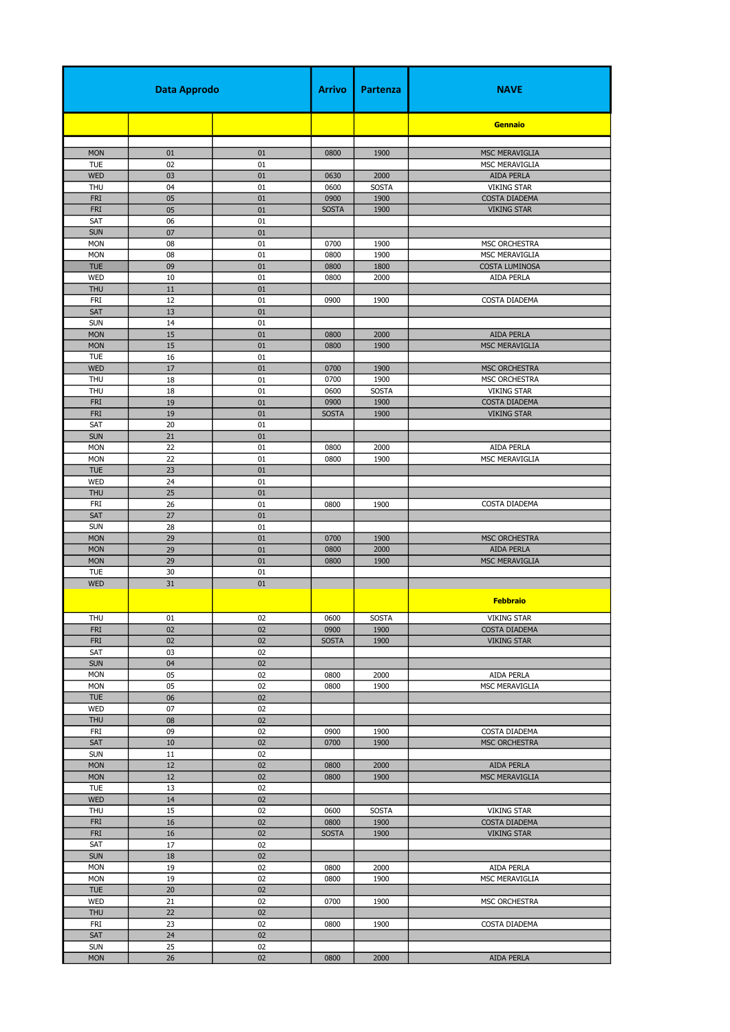| <b>Data Approdo</b>      |          | Arrivo   | Partenza             | <b>NAVE</b>          |                                            |
|--------------------------|----------|----------|----------------------|----------------------|--------------------------------------------|
|                          |          |          |                      |                      | <b>Gennaio</b>                             |
| <b>MON</b>               | 01       | 01       | 0800                 | 1900                 | MSC MERAVIGLIA                             |
| <b>TUE</b>               | 02       | 01       |                      |                      | MSC MERAVIGLIA                             |
| <b>WED</b>               | 03       | 01       | 0630                 | 2000                 | <b>AIDA PERLA</b>                          |
| THU                      | 04       | 01       | 0600                 | <b>SOSTA</b>         | <b>VIKING STAR</b>                         |
| <b>FRI</b>               | 05       | 01       | 0900                 | 1900                 | <b>COSTA DIADEMA</b>                       |
| <b>FRI</b>               | 05       | 01       | <b>SOSTA</b>         | 1900                 | <b>VIKING STAR</b>                         |
| SAT<br><b>SUN</b>        | 06<br>07 | 01<br>01 |                      |                      |                                            |
| <b>MON</b>               | 08       | 01       | 0700                 | 1900                 | MSC ORCHESTRA                              |
| <b>MON</b>               | 08       | 01       | 0800                 | 1900                 | MSC MERAVIGLIA                             |
| <b>TUE</b>               | 09       | 01       | 0800                 | 1800                 | <b>COSTA LUMINOSA</b>                      |
| <b>WED</b>               | 10       | 01       | 0800                 | 2000                 | AIDA PERLA                                 |
| <b>THU</b>               | $11\,$   | 01       |                      |                      |                                            |
| FRI<br>SAT               | 12       | 01<br>01 | 0900                 | 1900                 | COSTA DIADEMA                              |
| <b>SUN</b>               | 13<br>14 | 01       |                      |                      |                                            |
| <b>MON</b>               | 15       | 01       | 0800                 | 2000                 | <b>AIDA PERLA</b>                          |
| <b>MON</b>               | 15       | 01       | 0800                 | 1900                 | MSC MERAVIGLIA                             |
| <b>TUE</b>               | 16       | 01       |                      |                      |                                            |
| <b>WED</b>               | 17       | 01       | 0700                 | 1900                 | <b>MSC ORCHESTRA</b>                       |
| <b>THU</b>               | 18       | 01       | 0700                 | 1900                 | MSC ORCHESTRA                              |
| <b>THU</b><br><b>FRI</b> | 18<br>19 | 01<br>01 | 0600<br>0900         | <b>SOSTA</b><br>1900 | <b>VIKING STAR</b><br>COSTA DIADEMA        |
| <b>FRI</b>               | 19       | 01       | <b>SOSTA</b>         | 1900                 | <b>VIKING STAR</b>                         |
| SAT                      | 20       | 01       |                      |                      |                                            |
| <b>SUN</b>               | 21       | 01       |                      |                      |                                            |
| <b>MON</b>               | 22       | 01       | 0800                 | 2000                 | AIDA PERLA                                 |
| <b>MON</b>               | 22       | 01       | 0800                 | 1900                 | MSC MERAVIGLIA                             |
| <b>TUE</b>               | 23       | 01       |                      |                      |                                            |
| <b>WED</b>               | 24       | 01       |                      |                      |                                            |
| <b>THU</b><br>FRI        | 25<br>26 | 01<br>01 | 0800                 | 1900                 | COSTA DIADEMA                              |
| SAT                      | 27       | 01       |                      |                      |                                            |
| <b>SUN</b>               | 28       | 01       |                      |                      |                                            |
| <b>MON</b>               | 29       | 01       | 0700                 | 1900                 | MSC ORCHESTRA                              |
| <b>MON</b>               | 29       | 01       | 0800                 | 2000                 | AIDA PERLA                                 |
| <b>MON</b>               | 29       | 01       | 0800                 | 1900                 | MSC MERAVIGLIA                             |
| <b>TUE</b><br><b>WED</b> | 30<br>31 | 01<br>01 |                      |                      |                                            |
|                          |          |          |                      |                      |                                            |
|                          |          |          |                      |                      | <b>Febbraio</b>                            |
| <b>THU</b>               | 01       | 02       | 0600                 | SOSTA                | <b>VIKING STAR</b>                         |
| <b>FRI</b>               | 02       | 02       | 0900                 | 1900                 | COSTA DIADEMA                              |
| FRI                      | 02       | 02       | <b>SOSTA</b>         | 1900                 | <b>VIKING STAR</b>                         |
| SAT<br><b>SUN</b>        | 03<br>04 | 02<br>02 |                      |                      |                                            |
| <b>MON</b>               | 05       | 02       | 0800                 | 2000                 | AIDA PERLA                                 |
| <b>MON</b>               | 05       | 02       | 0800                 | 1900                 | MSC MERAVIGLIA                             |
| <b>TUE</b>               | 06       | 02       |                      |                      |                                            |
| <b>WED</b>               | 07       | 02       |                      |                      |                                            |
| <b>THU</b>               | $08\,$   | 02       |                      |                      |                                            |
| FRI                      | 09       | 02<br>02 | 0900                 | 1900                 | COSTA DIADEMA                              |
| SAT<br><b>SUN</b>        | 10<br>11 | 02       | 0700                 | 1900                 | MSC ORCHESTRA                              |
| <b>MON</b>               | 12       | 02       | 0800                 | 2000                 | AIDA PERLA                                 |
| <b>MON</b>               | 12       | 02       | 0800                 | 1900                 | MSC MERAVIGLIA                             |
| <b>TUE</b>               | 13       | 02       |                      |                      |                                            |
| <b>WED</b>               | 14       | 02       |                      |                      |                                            |
| THU<br>FRI               | 15       | 02       | 0600                 | <b>SOSTA</b>         | <b>VIKING STAR</b>                         |
| FRI                      | 16<br>16 | 02<br>02 | 0800<br><b>SOSTA</b> | 1900<br>1900         | <b>COSTA DIADEMA</b><br><b>VIKING STAR</b> |
| SAT                      | 17       | 02       |                      |                      |                                            |
| <b>SUN</b>               | 18       | 02       |                      |                      |                                            |
| <b>MON</b>               | 19       | 02       | 0800                 | 2000                 | AIDA PERLA                                 |
| <b>MON</b>               | 19       | 02       | 0800                 | 1900                 | MSC MERAVIGLIA                             |
| <b>TUE</b>               | 20       | 02       |                      |                      |                                            |
| WED                      | 21       | 02       | 0700                 | 1900                 | MSC ORCHESTRA                              |
| <b>THU</b><br>FRI        | 22<br>23 | 02<br>02 | 0800                 | 1900                 | COSTA DIADEMA                              |
| SAT                      | 24       | 02       |                      |                      |                                            |
| <b>SUN</b>               | 25       | 02       |                      |                      |                                            |
| <b>MON</b>               | 26       | 02       | 0800                 | 2000                 | AIDA PERLA                                 |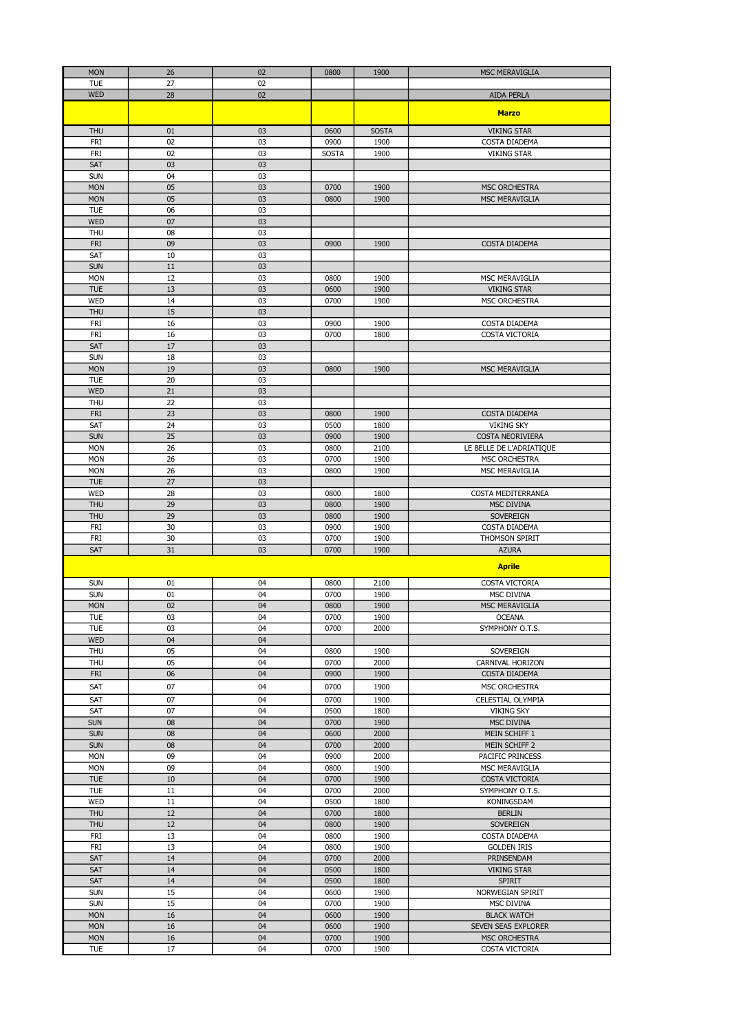| <b>MON</b>        | 26       | 02       | 0800         | 1900         | MSC MERAVIGLIA                  |
|-------------------|----------|----------|--------------|--------------|---------------------------------|
| <b>TUE</b>        | 27       | 02       |              |              |                                 |
| <b>WED</b>        | 28       | 02       |              |              | <b>AIDA PERLA</b>               |
|                   |          |          |              |              |                                 |
|                   |          |          |              |              | <b>Marzo</b>                    |
|                   |          |          |              |              |                                 |
| <b>THU</b>        | 01       | 03       | 0600         | <b>SOSTA</b> | <b>VIKING STAR</b>              |
| FRI               | 02       | 03       | 0900         | 1900         | COSTA DIADEMA                   |
| <b>FRI</b>        | 02       | 03       | <b>SOSTA</b> | 1900         | <b>VIKING STAR</b>              |
| SAT               | 03       | 03       |              |              |                                 |
| <b>SUN</b>        | 04       | 03       |              |              |                                 |
| <b>MON</b>        | 05       | 03       | 0700         | 1900         | <b>MSC ORCHESTRA</b>            |
| <b>MON</b>        | 05       | 03       | 0800         | 1900         | <b>MSC MERAVIGLIA</b>           |
|                   |          |          |              |              |                                 |
| <b>TUE</b>        | 06       | 03       |              |              |                                 |
| <b>WED</b>        | 07       | 03       |              |              |                                 |
| <b>THU</b>        | 08       | 03       |              |              |                                 |
| <b>FRI</b>        | 09       | 03       | 0900         | 1900         | COSTA DIADEMA                   |
| SAT               | 10       | 03       |              |              |                                 |
| <b>SUN</b>        | 11       | 03       |              |              |                                 |
| <b>MON</b>        | 12       | 03       | 0800         | 1900         | MSC MERAVIGLIA                  |
| <b>TUE</b>        | 13       | 03       | 0600         | 1900         | <b>VIKING STAR</b>              |
|                   |          |          |              |              |                                 |
| <b>WED</b>        | 14       | 03       | 0700         | 1900         | MSC ORCHESTRA                   |
| <b>THU</b>        | 15       | 03       |              |              |                                 |
| FRI               | 16       | 03       | 0900         | 1900         | COSTA DIADEMA                   |
| FRI               | 16       | 03       | 0700         | 1800         | COSTA VICTORIA                  |
| <b>SAT</b>        | 17       | 03       |              |              |                                 |
| <b>SUN</b>        | 18       | 03       |              |              |                                 |
| <b>MON</b>        | 19       | 03       | 0800         | 1900         | MSC MERAVIGLIA                  |
| <b>TUE</b>        | 20       | 03       |              |              |                                 |
| <b>WED</b>        | 21       | 03       |              |              |                                 |
|                   |          |          |              |              |                                 |
| <b>THU</b>        | 22       | 03       |              |              |                                 |
| <b>FRI</b>        | 23       | 03       | 0800         | 1900         | COSTA DIADEMA                   |
| <b>SAT</b>        | 24       | 03       | 0500         | 1800         | <b>VIKING SKY</b>               |
| <b>SUN</b>        | 25       | 03       | 0900         | 1900         | <b>COSTA NEORIVIERA</b>         |
| <b>MON</b>        | 26       | 03       | 0800         | 2100         | LE BELLE DE L'ADRIATIQUE        |
| <b>MON</b>        | 26       | 03       | 0700         | 1900         | MSC ORCHESTRA                   |
| <b>MON</b>        | 26       | 03       | 0800         | 1900         | MSC MERAVIGLIA                  |
| <b>TUE</b>        | 27       | 03       |              |              |                                 |
|                   |          |          |              |              |                                 |
| <b>WED</b>        | 28       | 03       | 0800         | 1800         | COSTA MEDITERRANEA              |
| <b>THU</b>        | 29       | 03       | 0800         | 1900         | MSC DIVINA                      |
| <b>THU</b>        | 29       | 03       | 0800         | 1900         | <b>SOVEREIGN</b>                |
| FRI               | 30       | 03       | 0900         | 1900         | COSTA DIADEMA                   |
| FRI               | 30       | 03       | 0700         | 1900         | THOMSON SPIRIT                  |
| <b>SAT</b>        | 31       | 03       | 0700         | 1900         | <b>AZURA</b>                    |
|                   |          |          |              |              |                                 |
|                   |          |          |              |              | <b>Aprile</b>                   |
| <b>SUN</b>        | 01       | 04       | 0800         | 2100         | COSTA VICTORIA                  |
| <b>SUN</b>        | 01       | 04       | 0700         | 1900         | MSC DIVINA                      |
|                   |          |          |              |              |                                 |
| <b>MON</b>        | 02       | 04       | 0800         | 1900         | MSC MERAVIGLIA                  |
| <b>TUE</b>        | 03       | 04       | 0700         | 1900         | <b>OCEANA</b>                   |
| <b>TUE</b>        | 03       | 04       | 0700         | 2000         | SYMPHONY O.T.S.                 |
| <b>WED</b>        | 04       | 04       |              |              |                                 |
| <b>THU</b>        | 05       | 04       | 0800         | 1900         | SOVEREIGN                       |
| THU               | 05       | 04       | 0700         | 2000         | CARNIVAL HORIZON                |
| <b>FRI</b>        | 06       | 04       | 0900         | 1900         | COSTA DIADEMA                   |
| SAT               | 07       | 04       | 0700         | 1900         | MSC ORCHESTRA                   |
|                   |          |          |              |              |                                 |
| SAT               | 07       | 04       | 0700         | 1900         | CELESTIAL OLYMPIA               |
| SAT               | 07       | 04       | 0500         | 1800         | <b>VIKING SKY</b>               |
| <b>SUN</b>        | 08       | 04       | 0700         | 1900         | MSC DIVINA                      |
| <b>SUN</b>        | 08       | 04       | 0600         | 2000         | MEIN SCHIFF 1                   |
| <b>SUN</b>        | 08       | 04       | 0700         | 2000         | MEIN SCHIFF 2                   |
| <b>MON</b>        | 09       | 04       | 0900         | 2000         | PACIFIC PRINCESS                |
| <b>MON</b>        | 09       | 04       | 0800         | 1900         | MSC MERAVIGLIA                  |
| <b>TUE</b>        | 10       | 04       | 0700         | 1900         | COSTA VICTORIA                  |
| <b>TUE</b>        | 11       | 04       | 0700         | 2000         | SYMPHONY O.T.S.                 |
|                   |          |          |              |              |                                 |
| <b>WED</b>        | 11       | 04       | 0500         | 1800         | KONINGSDAM                      |
| <b>THU</b>        | 12       | 04       | 0700         | 1800         | <b>BERLIN</b>                   |
| <b>THU</b>        | 12       | 04       | 0800         | 1900         | SOVEREIGN                       |
| FRI               | 13       | 04       | 0800         | 1900         | COSTA DIADEMA                   |
| FRI               | 13       | 04       | 0800         | 1900         | <b>GOLDEN IRIS</b>              |
| SAT               | 14       | 04       | 0700         | 2000         | PRINSENDAM                      |
| SAT               | 14       | 04       | 0500         | 1800         | <b>VIKING STAR</b>              |
| SAT               | 14       | 04       | 0500         | 1800         | <b>SPIRIT</b>                   |
| <b>SUN</b>        |          |          |              |              |                                 |
|                   |          |          |              |              |                                 |
|                   | 15       | 04       | 0600         | 1900         | NORWEGIAN SPIRIT                |
| <b>SUN</b>        | 15       | 04       | 0700         | 1900         | MSC DIVINA                      |
| <b>MON</b>        | 16       | 04       | 0600         | 1900         | <b>BLACK WATCH</b>              |
| <b>MON</b>        | 16       | 04       | 0600         | 1900         | SEVEN SEAS EXPLORER             |
| <b>MON</b><br>TUE | 16<br>17 | 04<br>04 | 0700<br>0700 | 1900<br>1900 | MSC ORCHESTRA<br>COSTA VICTORIA |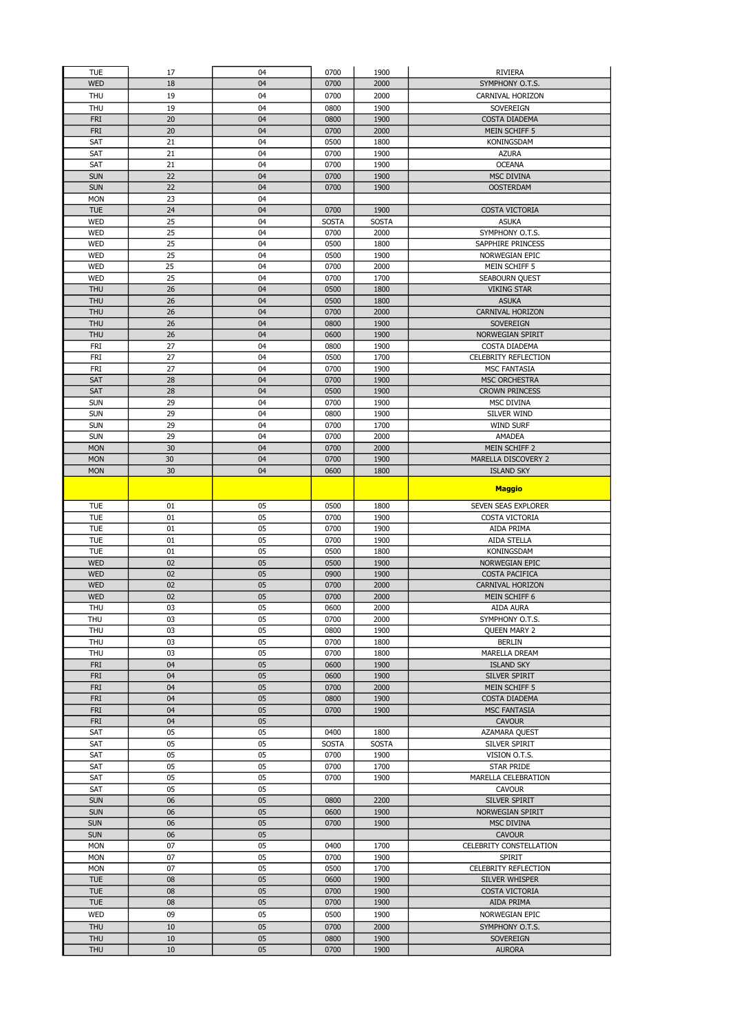| <b>TUE</b>               | 17       | 04       | 0700                 | 1900                 | <b>RIVIERA</b>                          |
|--------------------------|----------|----------|----------------------|----------------------|-----------------------------------------|
| <b>WED</b>               | 18       | 04       | 0700                 | 2000                 | SYMPHONY O.T.S.                         |
| <b>THU</b>               | 19       | 04       | 0700                 | 2000                 | CARNIVAL HORIZON                        |
| THU<br><b>FRI</b>        | 19<br>20 | 04<br>04 | 0800<br>0800         | 1900<br>1900         | SOVEREIGN<br><b>COSTA DIADEMA</b>       |
| <b>FRI</b>               | 20       | 04       | 0700                 | 2000                 | MEIN SCHIFF 5                           |
| SAT                      | 21       | 04       | 0500                 | 1800                 | KONINGSDAM                              |
| SAT                      | 21       | 04       | 0700                 | 1900                 | <b>AZURA</b>                            |
| SAT                      | 21       | 04       | 0700                 | 1900                 | <b>OCEANA</b>                           |
| <b>SUN</b>               | 22       | 04       | 0700                 | 1900                 | <b>MSC DIVINA</b>                       |
| <b>SUN</b>               | 22       | 04       | 0700                 | 1900                 | <b>OOSTERDAM</b>                        |
| <b>MON</b>               | 23       | 04       |                      |                      |                                         |
| <b>TUE</b><br><b>WED</b> | 24<br>25 | 04<br>04 | 0700<br><b>SOSTA</b> | 1900<br><b>SOSTA</b> | <b>COSTA VICTORIA</b><br><b>ASUKA</b>   |
| <b>WED</b>               | 25       | 04       | 0700                 | 2000                 | SYMPHONY O.T.S.                         |
| <b>WED</b>               | 25       | 04       | 0500                 | 1800                 | SAPPHIRE PRINCESS                       |
| WED                      | 25       | 04       | 0500                 | 1900                 | NORWEGIAN EPIC                          |
| <b>WED</b>               | 25       | 04       | 0700                 | 2000                 | MEIN SCHIFF 5                           |
| WED                      | 25       | 04       | 0700                 | 1700                 | SEABOURN QUEST                          |
| <b>THU</b>               | 26       | 04       | 0500                 | 1800                 | <b>VIKING STAR</b>                      |
| <b>THU</b><br><b>THU</b> | 26<br>26 | 04<br>04 | 0500<br>0700         | 1800<br>2000         | <b>ASUKA</b><br><b>CARNIVAL HORIZON</b> |
| <b>THU</b>               | 26       | 04       | 0800                 | 1900                 | SOVEREIGN                               |
| <b>THU</b>               | 26       | 04       | 0600                 | 1900                 | NORWEGIAN SPIRIT                        |
| FRI                      | 27       | 04       | 0800                 | 1900                 | COSTA DIADEMA                           |
| <b>FRI</b>               | 27       | 04       | 0500                 | 1700                 | <b>CELEBRITY REFLECTION</b>             |
| <b>FRI</b>               | 27       | 04       | 0700                 | 1900                 | <b>MSC FANTASIA</b>                     |
| <b>SAT</b>               | 28       | 04       | 0700                 | 1900                 | <b>MSC ORCHESTRA</b>                    |
| SAT                      | 28       | 04       | 0500                 | 1900                 | <b>CROWN PRINCESS</b>                   |
| <b>SUN</b><br><b>SUN</b> | 29<br>29 | 04<br>04 | 0700<br>0800         | 1900<br>1900         | <b>MSC DIVINA</b><br><b>SILVER WIND</b> |
| <b>SUN</b>               | 29       | 04       | 0700                 | 1700                 | <b>WIND SURF</b>                        |
| <b>SUN</b>               | 29       | 04       | 0700                 | 2000                 | AMADEA                                  |
| <b>MON</b>               | 30       | 04       | 0700                 | 2000                 | MEIN SCHIFF 2                           |
| <b>MON</b>               | 30       | 04       | 0700                 | 1900                 | MARELLA DISCOVERY 2                     |
| <b>MON</b>               | 30       | 04       | 0600                 | 1800                 | <b>ISLAND SKY</b>                       |
|                          |          |          |                      |                      | <b>Maggio</b>                           |
|                          |          |          |                      |                      |                                         |
| <b>TUE</b>               | 01       | 05       | 0500                 | 1800                 | SEVEN SEAS EXPLORER                     |
|                          |          |          |                      |                      |                                         |
| <b>TUE</b>               | 01       | 05       | 0700                 | 1900                 | COSTA VICTORIA                          |
| <b>TUE</b><br><b>TUE</b> | 01<br>01 | 05<br>05 | 0700<br>0700         | 1900<br>1900         | AIDA PRIMA<br>AIDA STELLA               |
| <b>TUE</b>               | 01       | 05       | 0500                 | 1800                 | KONINGSDAM                              |
| <b>WED</b>               | 02       | 05       | 0500                 | 1900                 | NORWEGIAN EPIC                          |
| <b>WED</b>               | 02       | 05       | 0900                 | 1900                 | <b>COSTA PACIFICA</b>                   |
| <b>WED</b>               | 02       | 05       | 0700                 | 2000                 | <b>CARNIVAL HORIZON</b>                 |
| <b>WED</b>               | 02       | 05       | 0700                 | 2000                 | MEIN SCHIFF 6                           |
| THU                      | 03       | 05       | 0600                 | 2000                 | AIDA AURA                               |
| <b>THU</b>               | 03       | 05       | 0700                 | 2000<br>1900         | SYMPHONY O.T.S.<br><b>QUEEN MARY 2</b>  |
| <b>THU</b><br><b>THU</b> | 03<br>03 | 05<br>05 | 0800<br>0700         | 1800                 | <b>BERLIN</b>                           |
| THU                      | 03       | 05       | 0700                 | 1800                 | MARELLA DREAM                           |
| <b>FRI</b>               | 04       | 05       | 0600                 | 1900                 | <b>ISLAND SKY</b>                       |
| <b>FRI</b>               | 04       | 05       | 0600                 | 1900                 | SILVER SPIRIT                           |
| <b>FRI</b>               | 04       | 05       | 0700                 | 2000                 | MEIN SCHIFF 5                           |
| <b>FRI</b>               | 04       | 05       | 0800                 | 1900                 | COSTA DIADEMA                           |
| <b>FRI</b><br><b>FRI</b> | 04<br>04 | 05<br>05 | 0700                 | 1900                 | MSC FANTASIA<br><b>CAVOUR</b>           |
| SAT                      | 05       | 05       | 0400                 | 1800                 | AZAMARA QUEST                           |
| SAT                      | 05       | 05       | <b>SOSTA</b>         | <b>SOSTA</b>         | SILVER SPIRIT                           |
| SAT                      | 05       | 05       | 0700                 | 1900                 | VISION O.T.S.                           |
| SAT                      | 05       | 05       | 0700                 | 1700                 | STAR PRIDE                              |
| SAT                      | 05       | 05       | 0700                 | 1900                 | MARELLA CELEBRATION                     |
| SAT                      | 05       | 05       |                      |                      | <b>CAVOUR</b>                           |
| <b>SUN</b><br><b>SUN</b> | 06<br>06 | 05<br>05 | 0800<br>0600         | 2200<br>1900         | SILVER SPIRIT<br>NORWEGIAN SPIRIT       |
| <b>SUN</b>               | 06       | 05       | 0700                 | 1900                 | MSC DIVINA                              |
| <b>SUN</b>               | 06       | 05       |                      |                      | <b>CAVOUR</b>                           |
| <b>MON</b>               | 07       | 05       | 0400                 | 1700                 | CELEBRITY CONSTELLATION                 |
| <b>MON</b>               | 07       | 05       | 0700                 | 1900                 | <b>SPIRIT</b>                           |
| <b>MON</b>               | 07       | 05       | 0500                 | 1700                 | CELEBRITY REFLECTION                    |
| <b>TUE</b>               | 08       | 05       | 0600                 | 1900                 | SILVER WHISPER                          |
| <b>TUE</b><br><b>TUE</b> | 08<br>08 | 05<br>05 | 0700<br>0700         | 1900<br>1900         | COSTA VICTORIA<br>AIDA PRIMA            |
| <b>WED</b>               | 09       | 05       | 0500                 | 1900                 | NORWEGIAN EPIC                          |
| <b>THU</b>               | 10       | 05       | 0700                 | 2000                 | SYMPHONY O.T.S.                         |
| <b>THU</b>               | 10       | 05       | 0800                 | 1900                 | SOVEREIGN                               |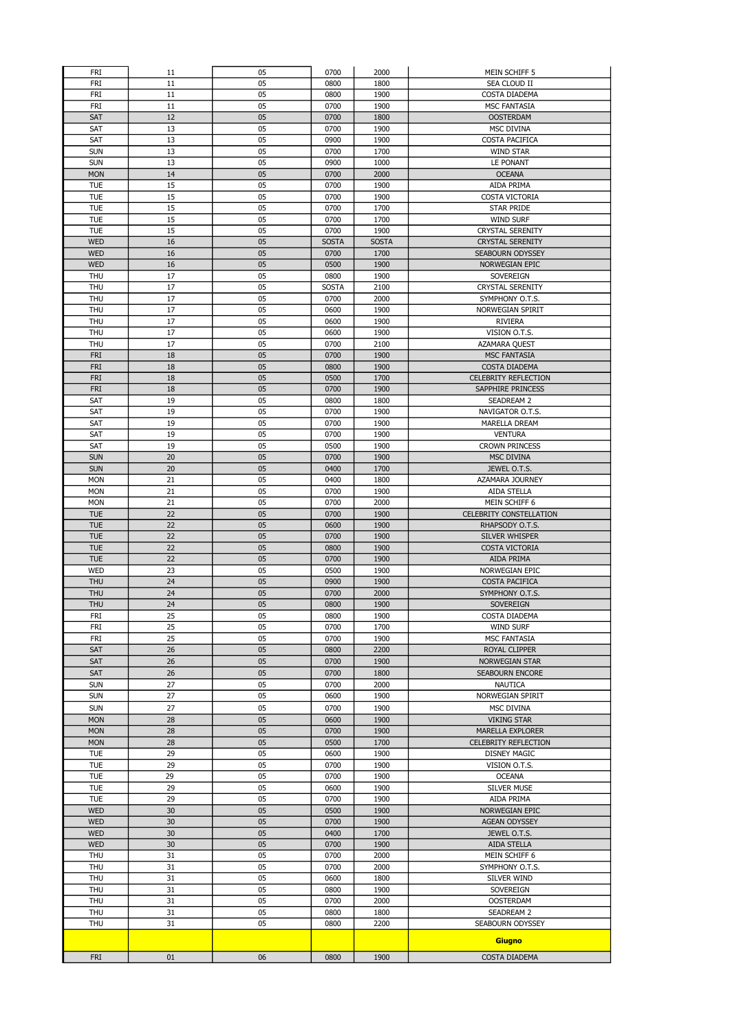| FRI                      | 11       | 05       | 0700         | 2000         | MEIN SCHIFF 5                                   |
|--------------------------|----------|----------|--------------|--------------|-------------------------------------------------|
| FRI                      | 11       | 05       | 0800         | 1800         | SEA CLOUD II                                    |
| FRI                      | 11       | 05       | 0800         | 1900         | COSTA DIADEMA                                   |
| FRI                      | 11       | 05       | 0700         | 1900         | <b>MSC FANTASIA</b>                             |
| <b>SAT</b>               | 12       | 05       | 0700         | 1800         | <b>OOSTERDAM</b>                                |
| SAT<br>SAT               | 13<br>13 | 05<br>05 | 0700<br>0900 | 1900<br>1900 | MSC DIVINA<br>COSTA PACIFICA                    |
| <b>SUN</b>               | 13       | 05       | 0700         | 1700         | <b>WIND STAR</b>                                |
| <b>SUN</b>               | 13       | 05       | 0900         | 1000         | <b>LE PONANT</b>                                |
| <b>MON</b>               | 14       | 05       | 0700         | 2000         | <b>OCEANA</b>                                   |
| <b>TUE</b>               | 15       | 05       | 0700         | 1900         | AIDA PRIMA                                      |
| <b>TUE</b>               | 15       | 05       | 0700         | 1900         | COSTA VICTORIA                                  |
| <b>TUE</b>               | 15       | 05       | 0700         | 1700         | <b>STAR PRIDE</b>                               |
| <b>TUE</b>               | 15       | 05       | 0700         | 1700         | <b>WIND SURF</b>                                |
| <b>TUE</b>               | 15       | 05       | 0700         | 1900         | <b>CRYSTAL SERENITY</b>                         |
| <b>WED</b>               | 16       | 05       | <b>SOSTA</b> | <b>SOSTA</b> | <b>CRYSTAL SERENITY</b>                         |
| <b>WED</b>               | 16       | 05       | 0700         | 1700         | SEABOURN ODYSSEY                                |
| <b>WED</b>               | 16       | 05       | 0500         | 1900         | NORWEGIAN EPIC                                  |
| <b>THU</b>               | 17       | 05       | 0800         | 1900         | SOVEREIGN                                       |
| <b>THU</b>               | 17       | 05       | <b>SOSTA</b> | 2100         | <b>CRYSTAL SERENITY</b>                         |
| <b>THU</b>               | 17       | 05       | 0700         | 2000         | SYMPHONY O.T.S.                                 |
| THU                      | 17       | 05       | 0600         | 1900         | NORWEGIAN SPIRIT                                |
| THU                      | 17       | 05       | 0600         | 1900         | <b>RIVIERA</b>                                  |
| THU                      | 17       | 05       | 0600         | 1900         | VISION O.T.S.                                   |
| <b>THU</b>               | 17<br>18 | 05<br>05 | 0700         | 2100<br>1900 | AZAMARA QUEST                                   |
| <b>FRI</b><br><b>FRI</b> | 18       | 05       | 0700<br>0800 | 1900         | <b>MSC FANTASIA</b><br>COSTA DIADEMA            |
| <b>FRI</b>               | 18       | 05       | 0500         | 1700         | <b>CELEBRITY REFLECTION</b>                     |
| <b>FRI</b>               | 18       | 05       | 0700         | 1900         | SAPPHIRE PRINCESS                               |
| SAT                      | 19       | 05       | 0800         | 1800         | <b>SEADREAM 2</b>                               |
| SAT                      | 19       | 05       | 0700         | 1900         | NAVIGATOR O.T.S.                                |
| SAT                      | 19       | 05       | 0700         | 1900         | MARELLA DREAM                                   |
| SAT                      | 19       | 05       | 0700         | 1900         | <b>VENTURA</b>                                  |
| SAT                      | 19       | 05       | 0500         | 1900         | <b>CROWN PRINCESS</b>                           |
| <b>SUN</b>               | 20       | 05       | 0700         | 1900         | MSC DIVINA                                      |
| <b>SUN</b>               | 20       | 05       | 0400         | 1700         | JEWEL O.T.S.                                    |
| <b>MON</b>               | 21       | 05       | 0400         | 1800         | AZAMARA JOURNEY                                 |
| <b>MON</b>               | 21       | 05       | 0700         | 1900         | AIDA STELLA                                     |
| <b>MON</b>               | 21       | 05       | 0700         | 2000         | MEIN SCHIFF 6                                   |
| <b>TUE</b>               | 22       | 05       | 0700         | 1900         | <b>CELEBRITY CONSTELLATION</b>                  |
| <b>TUE</b>               | 22       | 05       | 0600         | 1900         | RHAPSODY O.T.S.                                 |
| <b>TUE</b><br><b>TUE</b> | 22<br>22 | 05<br>05 | 0700<br>0800 | 1900<br>1900 | SILVER WHISPER<br><b>COSTA VICTORIA</b>         |
| <b>TUE</b>               | 22       | 05       | 0700         | 1900         | AIDA PRIMA                                      |
| <b>WED</b>               | 23       | 05       | 0500         | 1900         | NORWEGIAN EPIC                                  |
| <b>THU</b>               | 24       | 05       | 0900         | 1900         | <b>COSTA PACIFICA</b>                           |
| <b>THU</b>               | 24       | 05       | 0700         | 2000         | SYMPHONY O.T.S.                                 |
| <b>THU</b>               | 24       | 05       | 0800         | 1900         | SOVEREIGN                                       |
| <b>FRI</b>               | 25       | 05       | 0800         | 1900         | COSTA DIADEMA                                   |
| FRI                      | 25       | 05       | 0700         | 1700         | <b>WIND SURF</b>                                |
| FRI                      | 25       | 05       | 0700         | 1900         | MSC FANTASIA                                    |
| SAT                      | 26       | 05       | 0800         | 2200         | ROYAL CLIPPER                                   |
| SAT                      | 26       | 05       | 0700         | 1900         | NORWEGIAN STAR                                  |
| <b>SAT</b>               | 26       | 05       | 0700         | 1800         | SEABOURN ENCORE                                 |
| <b>SUN</b>               | 27       | 05       | 0700         | 2000         | <b>NAUTICA</b>                                  |
| <b>SUN</b>               | 27       | 05       | 0600         | 1900         | NORWEGIAN SPIRIT                                |
| <b>SUN</b>               | 27       | 05       | 0700         | 1900         | MSC DIVINA                                      |
| <b>MON</b>               | 28       | 05       | 0600         | 1900         | <b>VIKING STAR</b>                              |
| <b>MON</b><br><b>MON</b> | 28<br>28 | 05<br>05 | 0700<br>0500 | 1900<br>1700 | MARELLA EXPLORER<br><b>CELEBRITY REFLECTION</b> |
| <b>TUE</b>               | 29       | 05       | 0600         | 1900         | <b>DISNEY MAGIC</b>                             |
| <b>TUE</b>               | 29       | 05       | 0700         | 1900         | VISION O.T.S.                                   |
| <b>TUE</b>               | 29       | 05       | 0700         | 1900         | <b>OCEANA</b>                                   |
| <b>TUE</b>               | 29       | 05       | 0600         | 1900         | <b>SILVER MUSE</b>                              |
| <b>TUE</b>               | 29       | 05       | 0700         | 1900         | AIDA PRIMA                                      |
| <b>WED</b>               | 30       | 05       | 0500         | 1900         | NORWEGIAN EPIC                                  |
| <b>WED</b>               | 30       |          | 0700         | 1900         | AGEAN ODYSSEY                                   |
|                          |          | 05       |              |              |                                                 |
| <b>WED</b>               | 30       | 05       | 0400         | 1700         | JEWEL O.T.S.                                    |
| <b>WED</b>               | 30       | 05       | 0700         | 1900         | AIDA STELLA                                     |
| THU                      | 31       | 05       | 0700         | 2000         | MEIN SCHIFF 6                                   |
| THU                      | 31       | 05       | 0700         | 2000         | SYMPHONY O.T.S.                                 |
| THU                      | 31       | 05       | 0600         | 1800         | SILVER WIND                                     |
| <b>THU</b>               | 31       | 05       | 0800         | 1900         | SOVEREIGN                                       |
| THU                      | 31       | 05       | 0700         | 2000         | <b>OOSTERDAM</b>                                |
| <b>THU</b>               | 31       | 05       | 0800         | 1800         | SEADREAM 2                                      |
| <b>THU</b>               | 31       | 05       | 0800         | 2200         | SEABOURN ODYSSEY                                |
|                          |          |          |              |              | Giugno                                          |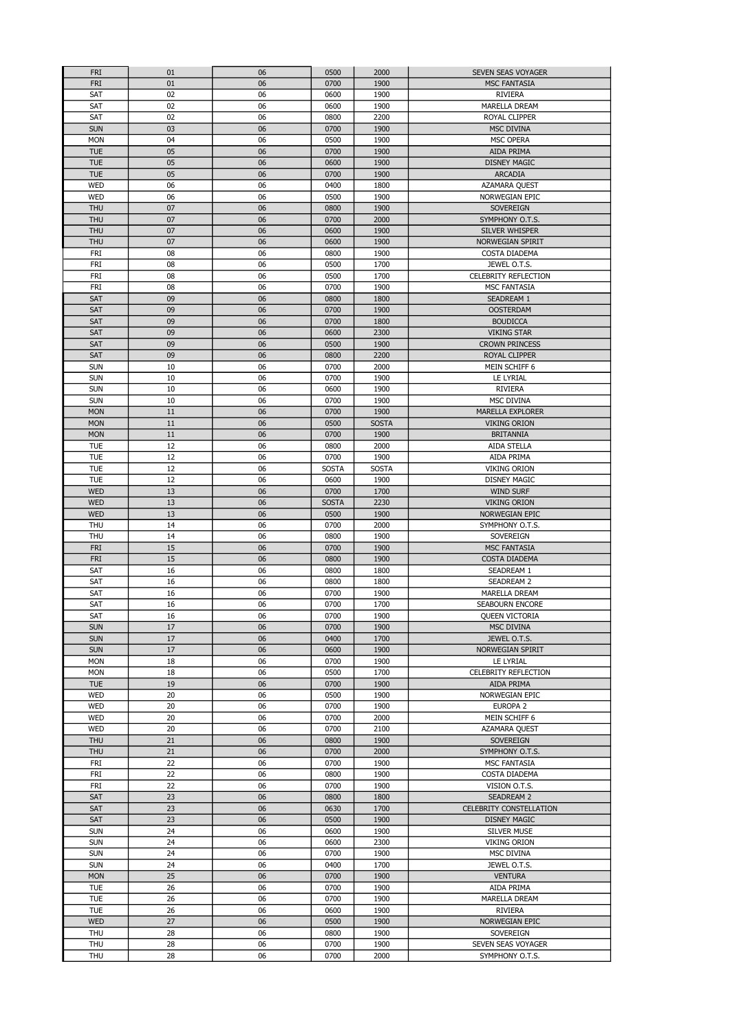| <b>FRI</b> | 01       | 06       | 0500         | 2000         | SEVEN SEAS VOYAGER                    |
|------------|----------|----------|--------------|--------------|---------------------------------------|
| <b>FRI</b> | 01       | 06       | 0700         | 1900         | <b>MSC FANTASIA</b>                   |
| SAT        | 02       | 06       | 0600         | 1900         | <b>RIVIERA</b>                        |
| SAT        | 02       | 06       | 0600         | 1900         | MARELLA DREAM                         |
| SAT        | 02       | 06       | 0800         | 2200         | ROYAL CLIPPER                         |
| <b>SUN</b> | 03       | 06       | 0700         | 1900         | <b>MSC DIVINA</b>                     |
| <b>MON</b> | 04       | 06       | 0500         | 1900         | MSC OPERA                             |
| <b>TUE</b> | 05       | 06       | 0700         | 1900         | AIDA PRIMA                            |
| <b>TUE</b> | 05       | 06       | 0600         | 1900         | <b>DISNEY MAGIC</b>                   |
|            |          |          |              |              |                                       |
| <b>TUE</b> | 05       | 06       | 0700         | 1900         | ARCADIA                               |
| <b>WED</b> | 06       | 06       | 0400         | 1800         | AZAMARA QUEST                         |
| <b>WED</b> | 06       | 06       | 0500         | 1900         | NORWEGIAN EPIC                        |
| <b>THU</b> | 07       | 06       | 0800         | 1900         | SOVEREIGN                             |
| <b>THU</b> | 07       | 06       | 0700         | 2000         | SYMPHONY O.T.S.                       |
| <b>THU</b> | 07       | 06       | 0600         | 1900         | SILVER WHISPER                        |
| <b>THU</b> | 07       | 06       | 0600         | 1900         | NORWEGIAN SPIRIT                      |
| <b>FRI</b> | 08       | 06       | 0800         | 1900         | COSTA DIADEMA                         |
| <b>FRI</b> | 08       | 06       | 0500         | 1700         | JEWEL O.T.S.                          |
| FRI        | 08       | 06       | 0500         | 1700         | CELEBRITY REFLECTION                  |
| <b>FRI</b> | 08       | 06       | 0700         | 1900         | <b>MSC FANTASIA</b>                   |
| <b>SAT</b> | 09       | 06       | 0800         | 1800         | SEADREAM 1                            |
| SAT        | 09       | 06       | 0700         | 1900         | <b>OOSTERDAM</b>                      |
|            |          |          |              |              |                                       |
| <b>SAT</b> | 09       | 06       | 0700         | 1800         | <b>BOUDICCA</b>                       |
| <b>SAT</b> | 09       | 06       | 0600         | 2300         | <b>VIKING STAR</b>                    |
| SAT        | 09       | 06       | 0500         | 1900         | <b>CROWN PRINCESS</b>                 |
| SAT        | 09       | 06       | 0800         | 2200         | ROYAL CLIPPER                         |
| <b>SUN</b> | 10       | 06       | 0700         | 2000         | MEIN SCHIFF 6                         |
| <b>SUN</b> | 10       | 06       | 0700         | 1900         | LE LYRIAL                             |
| <b>SUN</b> | 10       | 06       | 0600         | 1900         | <b>RIVIERA</b>                        |
| <b>SUN</b> | 10       | 06       | 0700         | 1900         | <b>MSC DIVINA</b>                     |
| <b>MON</b> | 11       | 06       | 0700         | 1900         | <b>MARELLA EXPLORER</b>               |
| <b>MON</b> | 11       | 06       | 0500         | <b>SOSTA</b> | <b>VIKING ORION</b>                   |
| <b>MON</b> | 11       | 06       | 0700         | 1900         | <b>BRITANNIA</b>                      |
| <b>TUE</b> | 12       | 06       | 0800         | 2000         | AIDA STELLA                           |
| <b>TUE</b> | 12       | 06       | 0700         | 1900         | AIDA PRIMA                            |
| <b>TUE</b> | 12       | 06       | <b>SOSTA</b> | <b>SOSTA</b> |                                       |
|            |          |          |              |              | <b>VIKING ORION</b>                   |
| <b>TUE</b> | 12       | 06       | 0600         | 1900         | <b>DISNEY MAGIC</b>                   |
| <b>WED</b> | 13       | 06       | 0700         | 1700         | <b>WIND SURF</b>                      |
| <b>WED</b> | 13       | 06       | <b>SOSTA</b> | 2230         | <b>VIKING ORION</b>                   |
| <b>WED</b> | 13       | 06       | 0500         | 1900         | NORWEGIAN EPIC                        |
| THU        | 14       | 06       | 0700         | 2000         | SYMPHONY O.T.S.                       |
| <b>THU</b> | 14       | 06       | 0800         | 1900         | SOVEREIGN                             |
| <b>FRI</b> | 15       | 06       | 0700         | 1900         | <b>MSC FANTASIA</b>                   |
| <b>FRI</b> | 15       | 06       | 0800         | 1900         | COSTA DIADEMA                         |
| SAT        | 16       | 06       | 0800         | 1800         | SEADREAM 1                            |
| SAT        | 16       | 06       | 0800         | 1800         | SEADREAM 2                            |
| SAT        | 16       | 06       | 0700         | 1900         | MARELLA DREAM                         |
| SAT        | 16       | 06       | 0700         | 1700         |                                       |
| SAT        | 16       |          |              |              |                                       |
| <b>SUN</b> |          |          |              |              | SEABOURN ENCORE                       |
|            |          | 06       | 0700         | 1900         | <b>OUEEN VICTORIA</b>                 |
|            | 17       | 06       | 0700         | 1900         | <b>MSC DIVINA</b>                     |
| <b>SUN</b> | 17       | 06       | 0400         | 1700         | JEWEL O.T.S.                          |
| <b>SUN</b> | 17       | 06       | 0600         | 1900         | NORWEGIAN SPIRIT                      |
| <b>MON</b> | 18       | 06       | 0700         | 1900         | LE LYRIAL                             |
| <b>MON</b> | 18       | 06       | 0500         | 1700         | CELEBRITY REFLECTION                  |
| <b>TUE</b> | 19       | 06       | 0700         | 1900         | AIDA PRIMA                            |
| <b>WED</b> | 20       | 06       | 0500         | 1900         | NORWEGIAN EPIC                        |
| <b>WED</b> | 20       | 06       | 0700         | 1900         | EUROPA <sub>2</sub>                   |
| <b>WED</b> | 20       | 06       | 0700         | 2000         | MEIN SCHIFF 6                         |
| WED        | 20       | 06       | 0700         | 2100         | AZAMARA QUEST                         |
| <b>THU</b> | 21       | 06       | 0800         | 1900         | SOVEREIGN                             |
| <b>THU</b> | 21       | 06       | 0700         | 2000         | SYMPHONY O.T.S.                       |
| FRI        | 22       | 06       | 0700         | 1900         | MSC FANTASIA                          |
|            | 22       | 06       | 0800         | 1900         | COSTA DIADEMA                         |
| FRI        |          |          |              |              |                                       |
| FRI        | 22       | 06       | 0700         | 1900         | VISION O.T.S.                         |
| SAT        | 23       | 06       | 0800         | 1800         | SEADREAM 2                            |
| SAT        | 23       | 06       | 0630         | 1700         | CELEBRITY CONSTELLATION               |
| SAT        | 23       | 06       | 0500         | 1900         | <b>DISNEY MAGIC</b>                   |
| <b>SUN</b> | 24       | 06       | 0600         | 1900         | <b>SILVER MUSE</b>                    |
| <b>SUN</b> | 24       | 06       | 0600         | 2300         | <b>VIKING ORION</b>                   |
| <b>SUN</b> | 24       | 06       | 0700         | 1900         | MSC DIVINA                            |
| <b>SUN</b> | 24       | 06       | 0400         | 1700         | JEWEL O.T.S.                          |
| <b>MON</b> | 25       | 06       | 0700         | 1900         | <b>VENTURA</b>                        |
| <b>TUE</b> | 26       | 06       | 0700         | 1900         | AIDA PRIMA                            |
| <b>TUE</b> | 26       | 06       | 0700         | 1900         | MARELLA DREAM                         |
| <b>TUE</b> | 26       | 06       | 0600         | 1900         | RIVIERA                               |
| <b>WED</b> | 27       | 06       | 0500         | 1900         | NORWEGIAN EPIC                        |
|            |          |          |              |              |                                       |
| THU        | 28       | 06       | 0800         | 1900         | SOVEREIGN                             |
| THU<br>THU | 28<br>28 | 06<br>06 | 0700<br>0700 | 1900<br>2000 | SEVEN SEAS VOYAGER<br>SYMPHONY O.T.S. |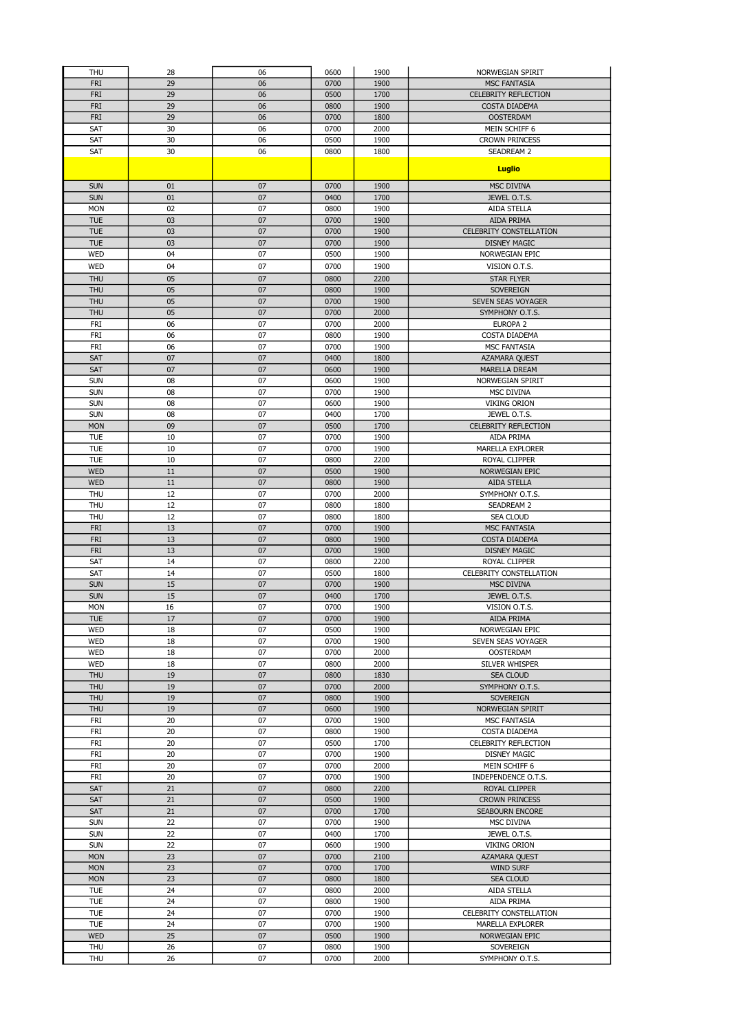| THU                      | 28       | 06       | 0600         | 1900         | NORWEGIAN SPIRIT                            |
|--------------------------|----------|----------|--------------|--------------|---------------------------------------------|
| <b>FRI</b>               | 29       | 06       | 0700         | 1900         | <b>MSC FANTASIA</b>                         |
| <b>FRI</b>               | 29       | 06       | 0500         | 1700         | <b>CELEBRITY REFLECTION</b>                 |
| <b>FRI</b>               | 29       | 06       | 0800         | 1900         | <b>COSTA DIADEMA</b>                        |
| <b>FRI</b>               | 29       | 06       | 0700         | 1800         | <b>OOSTERDAM</b>                            |
| SAT                      | 30       | 06       | 0700         | 2000         | MEIN SCHIFF 6                               |
| SAT                      | 30       | 06       | 0500         | 1900         | <b>CROWN PRINCESS</b>                       |
| SAT                      | 30       | 06       | 0800         | 1800         | SEADREAM 2                                  |
|                          |          |          |              |              | <b>Luglio</b>                               |
|                          |          |          |              |              |                                             |
| <b>SUN</b>               | 01       | 07<br>07 | 0700         | 1900         | <b>MSC DIVINA</b>                           |
| <b>SUN</b>               | 01       |          | 0400         | 1700         | JEWEL O.T.S.                                |
| <b>MON</b><br><b>TUE</b> | 02<br>03 | 07<br>07 | 0800<br>0700 | 1900<br>1900 | <b>AIDA STELLA</b><br><b>AIDA PRIMA</b>     |
| <b>TUE</b>               | 03       | 07       | 0700         | 1900         | <b>CELEBRITY CONSTELLATION</b>              |
| <b>TUE</b>               | 03       | 07       | 0700         | 1900         | <b>DISNEY MAGIC</b>                         |
| <b>WED</b>               | 04       | 07       | 0500         | 1900         | NORWEGIAN EPIC                              |
| WED                      | 04       | 07       | 0700         | 1900         | VISION O.T.S.                               |
| <b>THU</b>               | 05       | 07       | 0800         | 2200         | <b>STAR FLYER</b>                           |
| <b>THU</b>               | 05       | 07       | 0800         | 1900         | SOVEREIGN                                   |
| <b>THU</b>               | 05       | 07       | 0700         | 1900         | SEVEN SEAS VOYAGER                          |
| <b>THU</b>               | 05       | 07       | 0700         | 2000         | SYMPHONY O.T.S.                             |
| <b>FRI</b>               | 06       | 07       | 0700         | 2000         | <b>EUROPA 2</b>                             |
| FRI                      | 06       | 07       | 0800         | 1900         | COSTA DIADEMA                               |
| <b>FRI</b>               | 06       | 07       | 0700         | 1900         | <b>MSC FANTASIA</b>                         |
| <b>SAT</b>               | 07       | 07       | 0400         | 1800         | AZAMARA QUEST                               |
| SAT                      | 07       | 07       | 0600         | 1900         | MARELLA DREAM                               |
| <b>SUN</b>               | 08       | 07       | 0600         | 1900         | NORWEGIAN SPIRIT                            |
| <b>SUN</b>               | 08       | 07       | 0700         | 1900         | MSC DIVINA                                  |
| <b>SUN</b>               | 08       | 07       | 0600         | 1900         | <b>VIKING ORION</b>                         |
| <b>SUN</b>               | 08       | 07       | 0400         | 1700         | JEWEL O.T.S.                                |
| <b>MON</b>               | 09       | 07       | 0500         | 1700         | <b>CELEBRITY REFLECTION</b>                 |
| <b>TUE</b>               | 10       | 07       | 0700         | 1900         | AIDA PRIMA                                  |
| <b>TUE</b>               | 10       | 07       | 0700         | 1900         | <b>MARELLA EXPLORER</b>                     |
| <b>TUE</b>               | 10       | 07       | 0800         | 2200         | <b>ROYAL CLIPPER</b>                        |
| <b>WED</b>               | 11       | 07       | 0500         | 1900         | <b>NORWEGIAN EPIC</b>                       |
| <b>WED</b>               | 11       | 07       | 0800         | 1900         | AIDA STELLA                                 |
| THU                      | 12       | 07       | 0700         | 2000         | SYMPHONY O.T.S.                             |
| THU                      | 12       | 07       | 0800         | 1800         | SEADREAM 2                                  |
| <b>THU</b>               | 12       | 07       | 0800         | 1800         | <b>SEA CLOUD</b>                            |
| <b>FRI</b>               | 13       | 07       | 0700         | 1900         | <b>MSC FANTASIA</b>                         |
| <b>FRI</b>               | 13       | 07       | 0800         | 1900         | COSTA DIADEMA                               |
| <b>FRI</b>               | 13       | 07       | 0700         | 1900         | <b>DISNEY MAGIC</b>                         |
| SAT                      | 14       | 07       | 0800         | 2200         | ROYAL CLIPPER                               |
| SAT                      | 14       | 07       | 0500         | 1800         | CELEBRITY CONSTELLATION                     |
| <b>SUN</b><br><b>SUN</b> | 15<br>15 | 07<br>07 | 0700<br>0400 | 1900<br>1700 | <b>MSC DIVINA</b><br>JEWEL O.T.S.           |
| <b>MON</b>               | 16       | 07       |              | 1900         |                                             |
| <b>TUE</b>               | 17       | 07       | 0700<br>0700 |              | VISION O.T.S.<br>AIDA PRIMA                 |
| WED                      | 18       | 07       | 0500         | 1900<br>1900 | NORWEGIAN EPIC                              |
| <b>WED</b>               | 18       | 07       | 0700         | 1900         | SEVEN SEAS VOYAGER                          |
| WED                      | 18       | 07       | 0700         | 2000         | <b>OOSTERDAM</b>                            |
| WED                      | 18       | 07       | 0800         | 2000         | SILVER WHISPER                              |
| <b>THU</b>               | 19       | 07       | 0800         | 1830         | <b>SEA CLOUD</b>                            |
| <b>THU</b>               | 19       | 07       | 0700         | 2000         | SYMPHONY O.T.S.                             |
| <b>THU</b>               | 19       | 07       | 0800         | 1900         | SOVEREIGN                                   |
| <b>THU</b>               | 19       | 07       | 0600         | 1900         | NORWEGIAN SPIRIT                            |
| FRI                      | 20       | 07       | 0700         | 1900         | <b>MSC FANTASIA</b>                         |
| FRI                      | 20       | 07       | 0800         | 1900         | COSTA DIADEMA                               |
| FRI                      | 20       | 07       | 0500         | 1700         | CELEBRITY REFLECTION                        |
| FRI                      | 20       | 07       | 0700         | 1900         | <b>DISNEY MAGIC</b>                         |
| FRI                      | 20       | 07       | 0700         | 2000         | MEIN SCHIFF 6                               |
| FRI                      | 20       | 07       | 0700         | 1900         | INDEPENDENCE O.T.S.                         |
| SAT                      | 21       | 07       | 0800         | 2200         | ROYAL CLIPPER                               |
| SAT                      | 21       | 07       | 0500         | 1900         | <b>CROWN PRINCESS</b>                       |
| SAT                      | 21       | 07       | 0700         | 1700         | <b>SEABOURN ENCORE</b>                      |
| <b>SUN</b>               | 22       | 07       | 0700         | 1900         | MSC DIVINA                                  |
| <b>SUN</b>               | 22       | 07       | 0400         | 1700         | JEWEL O.T.S.                                |
| <b>SUN</b>               | 22       | 07       | 0600         | 1900         | <b>VIKING ORION</b>                         |
| <b>MON</b>               | 23       | 07       | 0700         | 2100         | AZAMARA QUEST                               |
| <b>MON</b>               | 23       | 07       | 0700         | 1700         | <b>WIND SURF</b>                            |
| <b>MON</b>               | 23       | 07       | 0800         | 1800         | <b>SEA CLOUD</b>                            |
| <b>TUE</b>               | 24       | 07       | 0800         | 2000         | AIDA STELLA                                 |
| TUE<br><b>TUE</b>        | 24<br>24 | 07<br>07 | 0800         | 1900<br>1900 | AIDA PRIMA                                  |
| <b>TUE</b>               | 24       | 07       | 0700<br>0700 | 1900         | CELEBRITY CONSTELLATION<br>MARELLA EXPLORER |
| <b>WED</b>               | 25       | 07       | 0500         | 1900         | NORWEGIAN EPIC                              |
| <b>THU</b>               | 26       | 07       | 0800         | 1900         | SOVEREIGN                                   |
| THU                      | 26       | 07       | 0700         | 2000         | SYMPHONY O.T.S.                             |
|                          |          |          |              |              |                                             |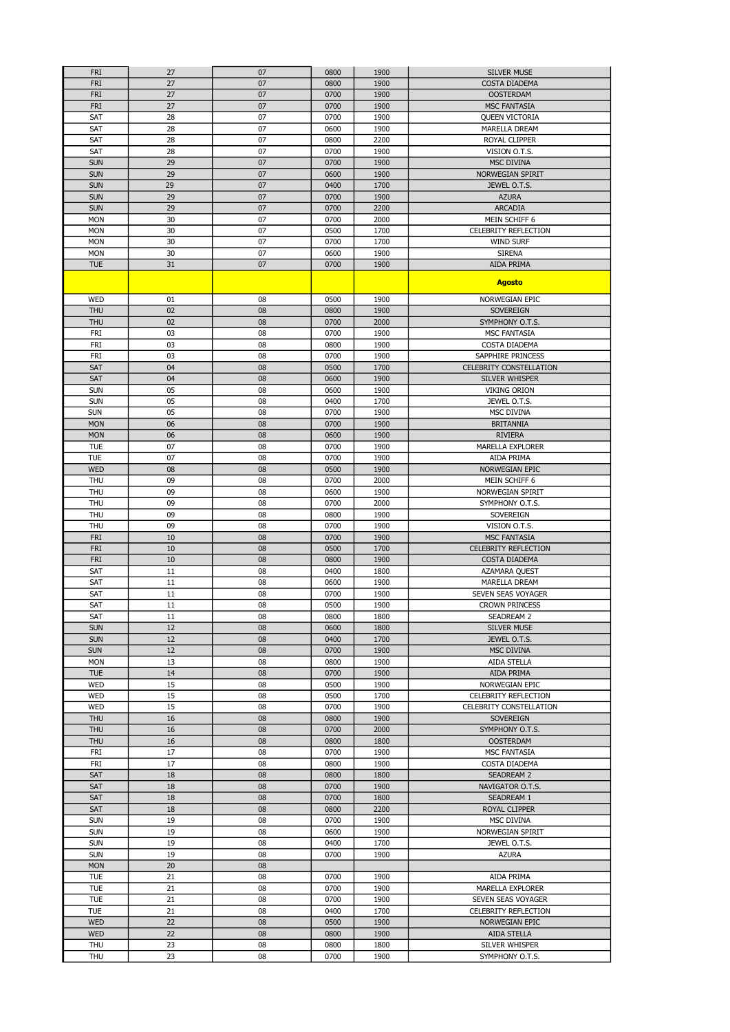| <b>FRI</b>               | 27       | 07       | 0800         | 1900         | <b>SILVER MUSE</b>                                 |
|--------------------------|----------|----------|--------------|--------------|----------------------------------------------------|
| <b>FRI</b>               | 27       | 07       | 0800         | 1900         | <b>COSTA DIADEMA</b>                               |
| <b>FRI</b>               | 27       | 07       | 0700         | 1900         | <b>OOSTERDAM</b>                                   |
| <b>FRI</b>               | 27       | 07       | 0700         | 1900         | <b>MSC FANTASIA</b>                                |
| SAT                      | 28       | 07       | 0700         | 1900         | <b>QUEEN VICTORIA</b>                              |
| SAT                      | 28       | 07       | 0600         | 1900         | <b>MARELLA DREAM</b>                               |
| SAT                      | 28       | 07       | 0800         | 2200         | ROYAL CLIPPER                                      |
| SAT                      | 28       | 07       | 0700         | 1900         | VISION O.T.S.                                      |
| <b>SUN</b>               | 29       | 07       | 0700         | 1900         | <b>MSC DIVINA</b>                                  |
| <b>SUN</b>               | 29       | 07       | 0600         | 1900         | NORWEGIAN SPIRIT                                   |
| <b>SUN</b>               | 29       | 07       | 0400         | 1700         | JEWEL O.T.S.                                       |
| <b>SUN</b>               | 29       | 07       | 0700         | 1900         | <b>AZURA</b>                                       |
| <b>SUN</b>               | 29       | 07       | 0700         | 2200         | <b>ARCADIA</b>                                     |
| <b>MON</b>               | 30       | 07       | 0700         | 2000         | MEIN SCHIFF 6                                      |
| <b>MON</b>               | 30       | 07       | 0500         | 1700         | <b>CELEBRITY REFLECTION</b>                        |
| <b>MON</b>               | 30       | 07       | 0700         | 1700         | <b>WIND SURF</b>                                   |
| <b>MON</b>               | 30       | 07       | 0600         | 1900         | <b>SIRENA</b>                                      |
| <b>TUE</b>               | 31       | 07       | 0700         | 1900         | AIDA PRIMA                                         |
|                          |          |          |              |              | <b>Agosto</b>                                      |
|                          |          |          |              |              |                                                    |
| WED                      | 01       | 08       | 0500         | 1900         | NORWEGIAN EPIC                                     |
| <b>THU</b>               | 02       | 08       | 0800         | 1900         | <b>SOVEREIGN</b>                                   |
| <b>THU</b>               | 02       | 08       | 0700         | 2000         | SYMPHONY O.T.S.                                    |
| FRI                      | 03       | 08       | 0700         | 1900         | <b>MSC FANTASIA</b>                                |
| FRI                      | 03       | 08       | 0800         | 1900         | COSTA DIADEMA                                      |
| FRI                      | 03       | 08       | 0700         | 1900         | SAPPHIRE PRINCESS                                  |
| SAT                      | 04       | 08       | 0500         | 1700         | <b>CELEBRITY CONSTELLATION</b>                     |
| SAT                      | 04       | 08       | 0600         | 1900         | SILVER WHISPER                                     |
| <b>SUN</b>               | 05       | 08       | 0600         | 1900         | <b>VIKING ORION</b>                                |
| <b>SUN</b>               | 05       | 08       | 0400         | 1700         | JEWEL O.T.S.                                       |
| <b>SUN</b>               | 05       | 08       | 0700         | 1900         | <b>MSC DIVINA</b>                                  |
| <b>MON</b>               | 06       | 08       | 0700         | 1900         | <b>BRITANNIA</b>                                   |
| <b>MON</b>               | 06       | 08       | 0600         | 1900         | <b>RIVIERA</b>                                     |
| <b>TUE</b>               | 07       | 08       | 0700         | 1900         | MARELLA EXPLORER                                   |
| <b>TUE</b>               | 07       | 08       | 0700         | 1900         | AIDA PRIMA                                         |
| <b>WED</b>               | 08       | 08       | 0500         | 1900         | NORWEGIAN EPIC                                     |
| THU                      | 09       | 08       | 0700         | 2000         | MEIN SCHIFF 6                                      |
| <b>THU</b>               | 09       | 08       | 0600         | 1900         | NORWEGIAN SPIRIT                                   |
| <b>THU</b>               | 09       | 08       | 0700         | 2000         | SYMPHONY O.T.S.                                    |
| <b>THU</b>               | 09       | 08       | 0800         | 1900         | SOVEREIGN                                          |
| <b>THU</b><br><b>FRI</b> | 09<br>10 | 08<br>08 | 0700<br>0700 | 1900         | VISION O.T.S.                                      |
| <b>FRI</b>               | 10       | 08       | 0500         | 1900<br>1700 | <b>MSC FANTASIA</b><br><b>CELEBRITY REFLECTION</b> |
|                          | 10       | 08       |              |              |                                                    |
| <b>FRI</b><br>SAT        | 11       | 08       | 0800<br>0400 | 1900<br>1800 | COSTA DIADEMA<br>AZAMARA QUEST                     |
| SAT                      | 11       | 08       | 0600         | 1900         | MARELLA DREAM                                      |
| SAT                      | 11       | 08       | 0700         | 1900         | SEVEN SEAS VOYAGER                                 |
| SAT                      | 11       | 08       | 0500         | 1900         | <b>CROWN PRINCESS</b>                              |
| <b>SAT</b>               | 11       | 08       | 0800         | 1800         | <b>SEADREAM 2</b>                                  |
| <b>SUN</b>               | 12       |          |              |              |                                                    |
| <b>SUN</b>               | 12       | 08<br>08 | 0600<br>0400 | 1800<br>1700 | <b>SILVER MUSE</b><br>JEWEL O.T.S.                 |
| <b>SUN</b>               | 12       | 08       | 0700         | 1900         | MSC DIVINA                                         |
| <b>MON</b>               | 13       | 08       | 0800         | 1900         | <b>AIDA STELLA</b>                                 |
| <b>TUE</b>               | 14       | 08       | 0700         | 1900         | AIDA PRIMA                                         |
| <b>WED</b>               | 15       | 08       | 0500         | 1900         | NORWEGIAN EPIC                                     |
| WED                      | 15       | 08       | 0500         | 1700         | CELEBRITY REFLECTION                               |
| <b>WED</b>               | 15       | 08       | 0700         | 1900         | CELEBRITY CONSTELLATION                            |
| <b>THU</b>               | 16       | 08       | 0800         | 1900         | SOVEREIGN                                          |
| <b>THU</b>               | 16       | 08       | 0700         | 2000         | SYMPHONY O.T.S.                                    |
| <b>THU</b>               | 16       | 08       | 0800         | 1800         | <b>OOSTERDAM</b>                                   |
| FRI                      | 17       | 08       | 0700         | 1900         | MSC FANTASIA                                       |
| FRI                      | 17       | 08       | 0800         | 1900         | COSTA DIADEMA                                      |
| SAT                      | 18       | 08       | 0800         | 1800         | <b>SEADREAM 2</b>                                  |
| SAT                      | 18       | 08       | 0700         | 1900         | NAVIGATOR O.T.S.                                   |
| SAT                      | 18       | 08       | 0700         | 1800         | SEADREAM 1                                         |
| SAT                      | 18       | 08       | 0800         | 2200         | ROYAL CLIPPER                                      |
| <b>SUN</b>               | 19       | 08       | 0700         | 1900         | MSC DIVINA                                         |
| <b>SUN</b>               | 19       | 08       | 0600         | 1900         | NORWEGIAN SPIRIT                                   |
| <b>SUN</b>               | 19       | 08       | 0400         | 1700         | JEWEL O.T.S.                                       |
| <b>SUN</b>               | 19       | 08       | 0700         | 1900         | <b>AZURA</b>                                       |
| <b>MON</b>               | 20       | 08       |              |              |                                                    |
| <b>TUE</b>               | 21       | 08       | 0700         | 1900         | AIDA PRIMA                                         |
| <b>TUE</b>               | 21       | 08       | 0700         | 1900         | <b>MARELLA EXPLORER</b>                            |
| <b>TUE</b>               | 21       | 08       | 0700         | 1900         | SEVEN SEAS VOYAGER                                 |
| <b>TUE</b>               | 21       | 08       | 0400         | 1700         | <b>CELEBRITY REFLECTION</b>                        |
| <b>WED</b>               | 22       | 08       | 0500         | 1900         | NORWEGIAN EPIC                                     |
| <b>WED</b>               | 22       | 08       | 0800         | 1900         | AIDA STELLA                                        |
| THU                      | 23       | 08       | 0800         | 1800         | SILVER WHISPER                                     |
| THU                      | 23       | 08       | 0700         | 1900         | SYMPHONY O.T.S.                                    |
|                          |          |          |              |              |                                                    |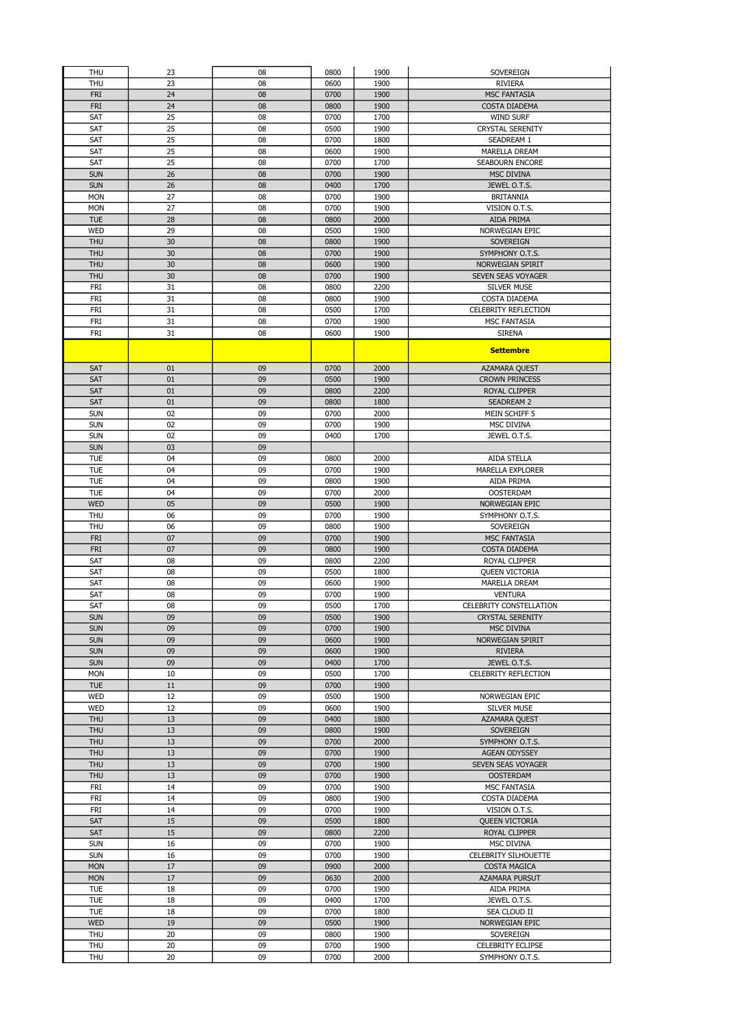| <b>THU</b>        | 23       | 08       | 0800         | 1900         | <b>SOVEREIGN</b>                     |
|-------------------|----------|----------|--------------|--------------|--------------------------------------|
| <b>THU</b>        | 23       | 08       | 0600         | 1900         | <b>RIVIERA</b>                       |
|                   |          |          |              |              |                                      |
| <b>FRI</b>        | 24       | 08       | 0700         | 1900         | <b>MSC FANTASIA</b>                  |
| <b>FRI</b>        | 24       | 08       | 0800         | 1900         | <b>COSTA DIADEMA</b>                 |
| SAT               | 25       | 08       | 0700         | 1700         | <b>WIND SURF</b>                     |
| SAT               | 25       | 08       | 0500         | 1900         | <b>CRYSTAL SERENITY</b>              |
| SAT               | 25       | 08       | 0700         | 1800         | SEADREAM 1                           |
| SAT               | 25       | 08       | 0600         | 1900         | <b>MARELLA DREAM</b>                 |
| SAT               | 25       | 08       | 0700         | 1700         | <b>SEABOURN ENCORE</b>               |
| <b>SUN</b>        | 26       | 08       | 0700         | 1900         | <b>MSC DIVINA</b>                    |
| <b>SUN</b>        | 26       | 08       | 0400         | 1700         | JEWEL O.T.S.                         |
| <b>MON</b>        | 27       | 08       | 0700         | 1900         | <b>BRITANNIA</b>                     |
| <b>MON</b>        | 27       | 08       | 0700         | 1900         | VISION O.T.S.                        |
|                   |          |          |              |              |                                      |
| <b>TUE</b>        | 28       | 08       | 0800         | 2000         | <b>AIDA PRIMA</b>                    |
| <b>WED</b>        | 29       | 08       | 0500         | 1900         | NORWEGIAN EPIC                       |
| <b>THU</b>        | 30       | 08       | 0800         | 1900         | <b>SOVEREIGN</b>                     |
| <b>THU</b>        | 30       | 08       | 0700         | 1900         | SYMPHONY O.T.S.                      |
| <b>THU</b>        | 30       | 08       | 0600         | 1900         | NORWEGIAN SPIRIT                     |
| <b>THU</b>        | 30       | 08       | 0700         | 1900         | SEVEN SEAS VOYAGER                   |
| <b>FRI</b>        | 31       | 08       | 0800         | 2200         | <b>SILVER MUSE</b>                   |
| <b>FRI</b>        | 31       | 08       | 0800         | 1900         | COSTA DIADEMA                        |
| <b>FRI</b>        | 31       | 08       | 0500         | 1700         | <b>CELEBRITY REFLECTION</b>          |
| <b>FRI</b>        | 31       | 08       | 0700         | 1900         | <b>MSC FANTASIA</b>                  |
| FRI               | 31       | 08       | 0600         | 1900         | <b>SIRENA</b>                        |
|                   |          |          |              |              |                                      |
|                   |          |          |              |              | <b>Settembre</b>                     |
|                   |          |          |              |              |                                      |
| SAT               | 01       | 09       | 0700         | 2000         | AZAMARA QUEST                        |
| <b>SAT</b>        | 01       | 09       | 0500         | 1900         | <b>CROWN PRINCESS</b>                |
| SAT               | 01       | 09       | 0800         | 2200         | <b>ROYAL CLIPPER</b>                 |
| SAT               | 01       | 09       | 0800         | 1800         | <b>SEADREAM 2</b>                    |
| <b>SUN</b>        | 02       | 09       | 0700         | 2000         | MEIN SCHIFF 5                        |
| <b>SUN</b>        | 02       | 09       | 0700         | 1900         | MSC DIVINA                           |
| <b>SUN</b>        | 02       | 09       | 0400         | 1700         | JEWEL O.T.S.                         |
| <b>SUN</b>        | 03       | 09       |              |              |                                      |
| <b>TUE</b>        | 04       | 09       | 0800         | 2000         | <b>AIDA STELLA</b>                   |
| <b>TUE</b>        | 04       | 09       | 0700         | 1900         | <b>MARELLA EXPLORER</b>              |
|                   |          |          |              |              |                                      |
| <b>TUE</b>        | 04       | 09       | 0800         | 1900         | AIDA PRIMA                           |
| <b>TUE</b>        | 04       | 09       | 0700         | 2000         | <b>OOSTERDAM</b>                     |
| <b>WED</b>        | 05       | 09       | 0500         | 1900         | NORWEGIAN EPIC                       |
| <b>THU</b>        | 06       | 09       | 0700         | 1900         | SYMPHONY O.T.S.                      |
| <b>THU</b>        | 06       | 09       | 0800         | 1900         | SOVEREIGN                            |
| <b>FRI</b>        | 07       | 09       | 0700         | 1900         | <b>MSC FANTASIA</b>                  |
| <b>FRI</b>        | 07       | 09       | 0800         | 1900         | <b>COSTA DIADEMA</b>                 |
| SAT               | 08       | 09       | 0800         | 2200         | ROYAL CLIPPER                        |
| SAT               | 08       | 09       | 0500         | 1800         | <b>QUEEN VICTORIA</b>                |
| SAT               | 08       | 09       | 0600         | 1900         | MARELLA DREAM                        |
| SAT               | 08       | 09       | 0700         | 1900         | <b>VENTURA</b>                       |
| SAT               | 08       | 09       | 0500         | 1700         | CELEBRITY CONSTELLATION              |
| <b>SUN</b>        | 09       | 09       | 0500         | 1900         | <b>CRYSTAL SERENITY</b>              |
|                   |          |          |              |              |                                      |
| <b>SUN</b>        | 09       | 09       | 0700         | 1900         | <b>MSC DIVINA</b>                    |
| <b>SUN</b>        | 09       | 09       | 0600         | 1900         | NORWEGIAN SPIRIT                     |
| <b>SUN</b>        | 09       | 09       | 0600         | 1900         | <b>RIVIERA</b>                       |
| <b>SUN</b>        | 09       | 09       | 0400         | 1700         | JEWEL O.T.S.                         |
| <b>MON</b>        | 10       | 09       | 0500         | 1700         | CELEBRITY REFLECTION                 |
| <b>TUE</b>        | 11       | 09       | 0700         | 1900         |                                      |
| <b>WED</b>        | 12       | 09       | 0500         | 1900         | NORWEGIAN EPIC                       |
| <b>WED</b>        | 12       | 09       | 0600         | 1900         | <b>SILVER MUSE</b>                   |
| <b>THU</b>        | 13       | 09       | 0400         | 1800         | AZAMARA QUEST                        |
| <b>THU</b>        | 13       | 09       | 0800         | 1900         | SOVEREIGN                            |
| THU               | 13       | 09       | 0700         | 2000         | SYMPHONY O.T.S.                      |
| THU               | 13       | 09       | 0700         | 1900         | AGEAN ODYSSEY                        |
| <b>THU</b>        | 13       | 09       | 0700         | 1900         | SEVEN SEAS VOYAGER                   |
| <b>THU</b>        | 13       | 09       | 0700         | 1900         | <b>OOSTERDAM</b>                     |
| <b>FRI</b>        | 14       | 09       | 0700         | 1900         | MSC FANTASIA                         |
| <b>FRI</b>        | 14       | 09       | 0800         | 1900         |                                      |
|                   |          |          |              |              | COSTA DIADEMA                        |
| <b>FRI</b>        | 14       | 09       | 0700         | 1900         | VISION O.T.S.                        |
| <b>SAT</b>        | 15       | 09       | 0500         | 1800         | <b>QUEEN VICTORIA</b>                |
| SAT               | 15       | 09       | 0800         | 2200         | ROYAL CLIPPER                        |
| <b>SUN</b>        | 16       | 09       | 0700         | 1900         | MSC DIVINA                           |
| <b>SUN</b>        | 16       | 09       | 0700         | 1900         | CELEBRITY SILHOUETTE                 |
| <b>MON</b>        | 17       | 09       | 0900         | 2000         | <b>COSTA MAGICA</b>                  |
| <b>MON</b>        | 17       | 09       | 0630         | 2000         | AZAMARA PURSUT                       |
| <b>TUE</b>        | 18       | 09       | 0700         | 1900         | AIDA PRIMA                           |
| <b>TUE</b>        | 18       | 09       | 0400         | 1700         | JEWEL O.T.S.                         |
| <b>TUE</b>        | 18       | 09       | 0700         | 1800         | SEA CLOUD II                         |
| <b>WED</b>        | 19       | 09       | 0500         | 1900         | NORWEGIAN EPIC                       |
|                   |          |          |              |              |                                      |
|                   |          |          |              |              |                                      |
| THU               | 20       | 09       | 0800         | 1900         | SOVEREIGN                            |
| THU<br><b>THU</b> | 20<br>20 | 09<br>09 | 0700<br>0700 | 1900<br>2000 | CELEBRITY ECLIPSE<br>SYMPHONY O.T.S. |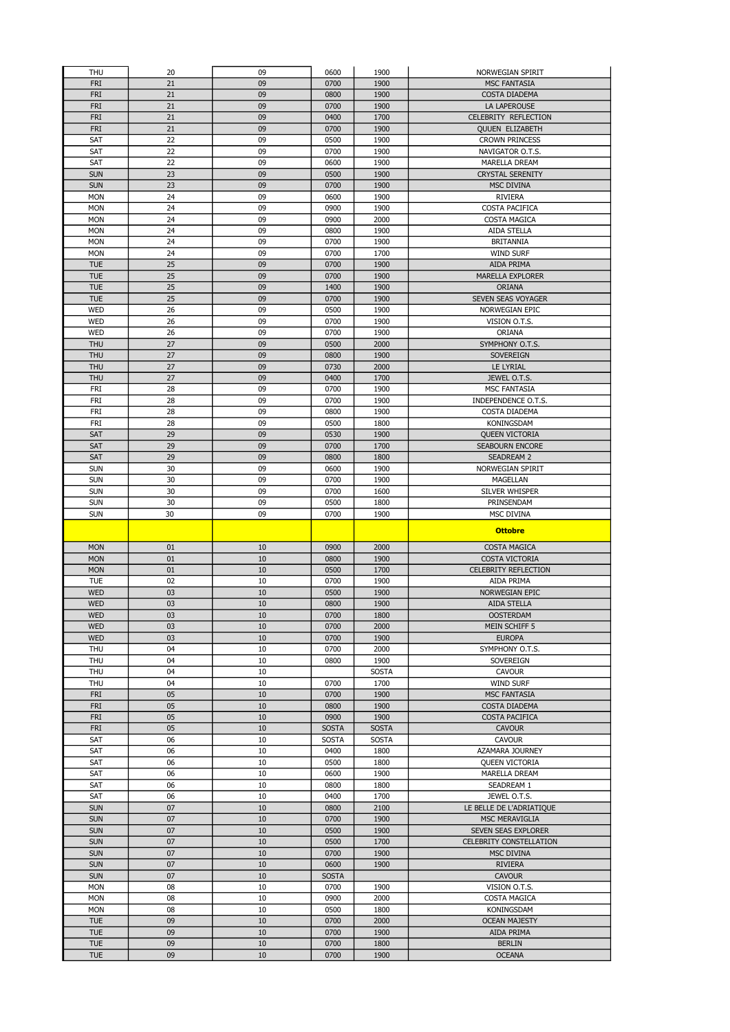|                          | 20       | 09       | 0600         | 1900         | NORWEGIAN SPIRIT            |
|--------------------------|----------|----------|--------------|--------------|-----------------------------|
| <b>FRI</b>               | 21       | 09       | 0700         | 1900         | <b>MSC FANTASIA</b>         |
| <b>FRI</b>               | 21       | 09       | 0800         | 1900         | COSTA DIADEMA               |
| <b>FRI</b>               | 21       | 09       | 0700         | 1900         | LA LAPEROUSE                |
| <b>FRI</b>               | 21       | 09       | 0400         | 1700         | CELEBRITY REFLECTION        |
| <b>FRI</b>               | 21       | 09       | 0700         | 1900         | <b>QUUEN ELIZABETH</b>      |
| SAT                      | 22       | 09       | 0500         | 1900         | <b>CROWN PRINCESS</b>       |
| SAT                      | 22       | 09       | 0700         | 1900         | NAVIGATOR O.T.S.            |
| SAT                      | 22       | 09       | 0600         | 1900         | MARELLA DREAM               |
| <b>SUN</b>               | 23       | 09       | 0500         | 1900         | <b>CRYSTAL SERENITY</b>     |
| <b>SUN</b>               | 23       | 09       | 0700         | 1900         | <b>MSC DIVINA</b>           |
| <b>MON</b>               | 24       | 09       | 0600         | 1900         | <b>RIVIERA</b>              |
| <b>MON</b>               | 24       | 09       | 0900         | 1900         | COSTA PACIFICA              |
| <b>MON</b>               | 24       | 09       | 0900         | 2000         | <b>COSTA MAGICA</b>         |
| <b>MON</b>               | 24       | 09       | 0800         | 1900         | AIDA STELLA                 |
| <b>MON</b>               | 24       | 09       | 0700         | 1900         | <b>BRITANNIA</b>            |
| <b>MON</b>               | 24       | 09       | 0700         | 1700         | <b>WIND SURF</b>            |
| <b>TUE</b>               | 25       | 09       | 0700         | 1900         | <b>AIDA PRIMA</b>           |
| <b>TUE</b>               | 25       | 09       | 0700         | 1900         | <b>MARELLA EXPLORER</b>     |
| <b>TUE</b>               | 25       | 09       | 1400         | 1900         | <b>ORIANA</b>               |
| <b>TUE</b>               | 25       | 09       | 0700         | 1900         | SEVEN SEAS VOYAGER          |
| WED                      | 26       | 09       | 0500         | 1900         | NORWEGIAN EPIC              |
| <b>WED</b>               | 26       | 09       | 0700         | 1900         | VISION O.T.S.               |
| <b>WED</b>               | 26       | 09       | 0700         | 1900         | <b>ORIANA</b>               |
| <b>THU</b>               | 27       | 09       | 0500         | 2000         | SYMPHONY O.T.S.             |
| <b>THU</b>               | 27       | 09       | 0800         | 1900         | <b>SOVEREIGN</b>            |
| <b>THU</b>               | 27       | 09       | 0730         | 2000         | LE LYRIAL                   |
| <b>THU</b>               | 27       | 09       | 0400         | 1700         | JEWEL O.T.S.                |
| FRI                      | 28       | 09       | 0700         | 1900         | MSC FANTASIA                |
| FRI                      | 28       | 09       | 0700         | 1900         | INDEPENDENCE O.T.S.         |
| FRI                      | 28       | 09       | 0800         | 1900         | COSTA DIADEMA               |
| FRI                      | 28       | 09       | 0500         | 1800         | KONINGSDAM                  |
| SAT                      | 29       | 09       | 0530         | 1900         | <b>QUEEN VICTORIA</b>       |
| SAT                      | 29       | 09       | 0700         | 1700         | <b>SEABOURN ENCORE</b>      |
| SAT                      | 29       | 09       | 0800         | 1800         | SEADREAM 2                  |
| <b>SUN</b>               | 30       | 09       | 0600         | 1900         | NORWEGIAN SPIRIT            |
| <b>SUN</b>               | 30       | 09       | 0700         | 1900         | MAGELLAN                    |
| <b>SUN</b>               | 30       | 09       | 0700         | 1600         | SILVER WHISPER              |
| <b>SUN</b>               | 30       | 09       | 0500         | 1800         | PRINSENDAM                  |
| <b>SUN</b>               | 30       | 09       | 0700         | 1900         | <b>MSC DIVINA</b>           |
|                          |          |          |              |              | <b>Ottobre</b>              |
|                          |          |          |              |              |                             |
|                          |          |          |              |              |                             |
| <b>MON</b>               | 01       | 10       | 0900         | 2000         | <b>COSTA MAGICA</b>         |
| <b>MON</b>               | 01       | 10       | 0800         | 1900         | <b>COSTA VICTORIA</b>       |
| <b>MON</b>               | 01       | 10       | 0500         | 1700         | <b>CELEBRITY REFLECTION</b> |
| <b>TUE</b>               | 02       | 10       | 0700         | 1900         | AIDA PRIMA                  |
| <b>WED</b>               | 03       | 10       | 0500         | 1900         | NORWEGIAN EPIC              |
| <b>WED</b>               | 03       | 10       | 0800         | 1900         | AIDA STELLA                 |
| <b>WED</b>               | 03       | 10       | 0700         | 1800         | <b>OOSTERDAM</b>            |
| <b>WED</b>               | 03       | 10       | 0700         | 2000         | MEIN SCHIFF 5               |
| <b>WED</b>               | 03       | 10       | 0700         | 1900         | <b>EUROPA</b>               |
| THU                      | 04       | 10       | 0700         | 2000         | SYMPHONY O.T.S.             |
| <b>THU</b>               | 04       | 10       | 0800         | 1900         | SOVEREIGN                   |
| THU                      | 04       | 10       |              | <b>SOSTA</b> | <b>CAVOUR</b>               |
| <b>THU</b>               | 04       | 10       | 0700         | 1700         | <b>WIND SURF</b>            |
| <b>FRI</b>               | 05       | 10       | 0700         | 1900         | <b>MSC FANTASIA</b>         |
| <b>FRI</b>               | 05       | 10       | 0800         | 1900         | COSTA DIADEMA               |
| <b>FRI</b>               | 05       | 10       | 0900         | 1900         | <b>COSTA PACIFICA</b>       |
| <b>FRI</b>               | 05       | 10       | <b>SOSTA</b> | <b>SOSTA</b> | <b>CAVOUR</b>               |
| SAT                      | 06       | 10       | <b>SOSTA</b> | <b>SOSTA</b> | <b>CAVOUR</b>               |
| SAT                      | 06       | 10       | 0400         | 1800         | AZAMARA JOURNEY             |
| SAT                      | 06       | 10       | 0500         | 1800         | <b>QUEEN VICTORIA</b>       |
| SAT                      | 06       | 10       | 0600         | 1900         | MARELLA DREAM               |
| SAT                      | 06       | 10       | 0800         | 1800         | SEADREAM 1                  |
| SAT                      | 06       | 10       | 0400         | 1700         | JEWEL O.T.S.                |
| <b>SUN</b>               | 07       | 10       | 0800         | 2100         | LE BELLE DE L'ADRIATIQUE    |
| <b>SUN</b>               | 07       | 10       | 0700         | 1900         | MSC MERAVIGLIA              |
| <b>SUN</b>               | 07       | 10       | 0500         | 1900         | SEVEN SEAS EXPLORER         |
| <b>SUN</b>               | 07       | 10       | 0500         | 1700         | CELEBRITY CONSTELLATION     |
| <b>SUN</b>               | 07       | 10       | 0700         | 1900         | <b>MSC DIVINA</b>           |
| <b>SUN</b>               | 07       | 10<br>10 | 0600         | 1900         | <b>RIVIERA</b>              |
| <b>SUN</b>               | 07       |          | <b>SOSTA</b> |              | <b>CAVOUR</b>               |
| <b>MON</b>               | 08       | 10       | 0700         | 1900         | VISION O.T.S.               |
| <b>MON</b>               | 08       | 10       | 0900         | 2000         | COSTA MAGICA                |
| <b>MON</b>               | 08       | 10       | 0500         | 1800         | KONINGSDAM                  |
| <b>TUE</b>               | 09       | 10       | 0700         | 2000         | <b>OCEAN MAJESTY</b>        |
| <b>TUE</b><br><b>TUE</b> | 09<br>09 | 10<br>10 | 0700<br>0700 | 1900<br>1800 | AIDA PRIMA<br><b>BERLIN</b> |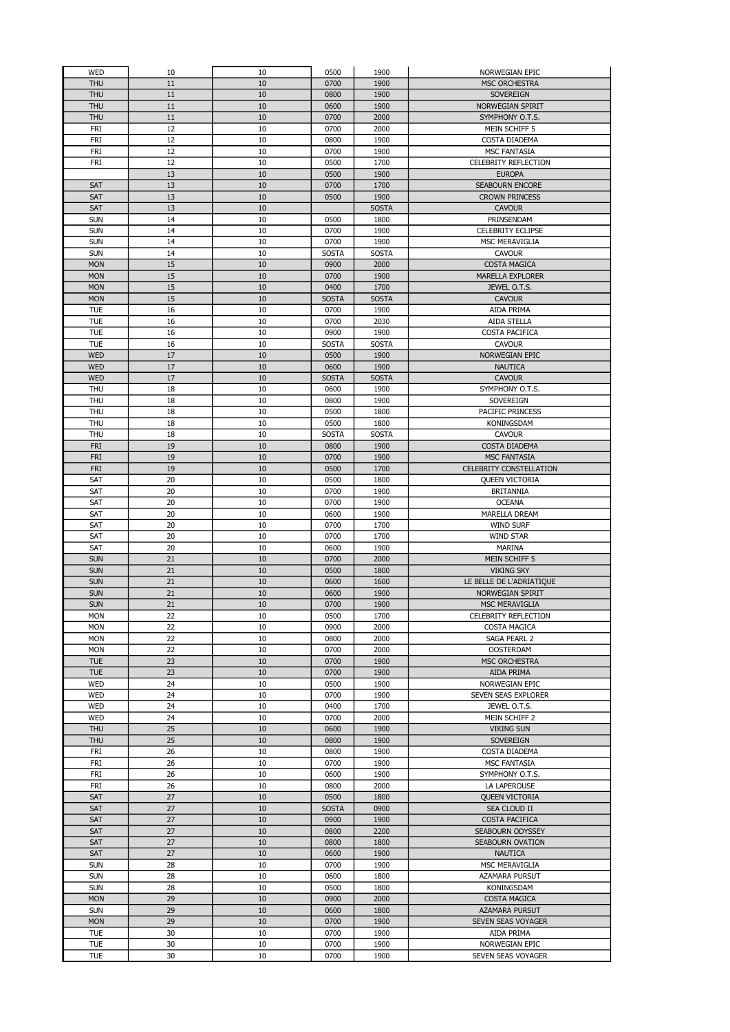| WED        | 10       | 10       | 0500         | 1900         | NORWEGIAN EPIC                       |
|------------|----------|----------|--------------|--------------|--------------------------------------|
| <b>THU</b> | 11       | 10       | 0700         | 1900         | <b>MSC ORCHESTRA</b>                 |
| <b>THU</b> | 11       | 10       | 0800         | 1900         | SOVEREIGN                            |
| <b>THU</b> | 11       | 10       | 0600         | 1900         | NORWEGIAN SPIRIT                     |
| <b>THU</b> | 11       | 10       | 0700         | 2000         | SYMPHONY O.T.S.                      |
| FRI        | 12       | 10       | 0700         | 2000         | MEIN SCHIFF 5                        |
| FRI        | 12       | 10       | 0800         | 1900         | COSTA DIADEMA                        |
| <b>FRI</b> | 12       | 10       | 0700         | 1900         | <b>MSC FANTASIA</b>                  |
| <b>FRI</b> | 12       | 10       | 0500         | 1700         | CELEBRITY REFLECTION                 |
|            | 13       | 10       | 0500         | 1900         | <b>EUROPA</b>                        |
| <b>SAT</b> | 13       | 10       | 0700         | 1700         | <b>SEABOURN ENCORE</b>               |
| <b>SAT</b> | 13       | 10       | 0500         | 1900         | <b>CROWN PRINCESS</b>                |
| SAT        | 13       | 10       |              | <b>SOSTA</b> | <b>CAVOUR</b>                        |
| <b>SUN</b> | 14       | 10       | 0500         | 1800         | PRINSENDAM                           |
| <b>SUN</b> | 14       | 10       | 0700         | 1900         | <b>CELEBRITY ECLIPSE</b>             |
| <b>SUN</b> | 14       | 10       | 0700         | 1900         | MSC MERAVIGLIA                       |
| <b>SUN</b> | 14       | 10       | <b>SOSTA</b> | <b>SOSTA</b> | <b>CAVOUR</b>                        |
| <b>MON</b> | 15       | 10       | 0900         | 2000         | <b>COSTA MAGICA</b>                  |
| <b>MON</b> | 15       | 10       | 0700         | 1900         | <b>MARELLA EXPLORER</b>              |
| <b>MON</b> | 15       | 10       | 0400         | 1700         | JEWEL O.T.S.                         |
| <b>MON</b> | 15       | 10       | <b>SOSTA</b> | <b>SOSTA</b> | <b>CAVOUR</b>                        |
| <b>TUE</b> | 16       | 10       | 0700         | 1900         | AIDA PRIMA                           |
| <b>TUE</b> | 16       | 10       | 0700         | 2030         | AIDA STELLA                          |
| <b>TUE</b> | 16       | 10       | 0900         | 1900         | COSTA PACIFICA                       |
| <b>TUE</b> | 16       | 10       | <b>SOSTA</b> | <b>SOSTA</b> | <b>CAVOUR</b>                        |
| <b>WED</b> | 17       | 10       | 0500         | 1900         | NORWEGIAN EPIC                       |
| <b>WED</b> | 17       | 10       | 0600         | 1900         | <b>NAUTICA</b>                       |
| <b>WED</b> | 17       | 10       | <b>SOSTA</b> | <b>SOSTA</b> | <b>CAVOUR</b>                        |
| <b>THU</b> | 18       | 10       | 0600         | 1900         | SYMPHONY O.T.S.                      |
| <b>THU</b> | 18       | 10       | 0800         | 1900         | SOVEREIGN                            |
| <b>THU</b> | 18       | 10       | 0500         | 1800         | PACIFIC PRINCESS                     |
| <b>THU</b> | 18       | 10       | 0500         | 1800         | KONINGSDAM                           |
| THU        | 18       | 10       | <b>SOSTA</b> | <b>SOSTA</b> | <b>CAVOUR</b>                        |
| <b>FRI</b> | 19       | 10       | 0800         | 1900         | COSTA DIADEMA                        |
| <b>FRI</b> | 19       | 10       | 0700         | 1900         | <b>MSC FANTASIA</b>                  |
| <b>FRI</b> | 19       | 10       | 0500         | 1700         | CELEBRITY CONSTELLATION              |
| SAT        | 20       | 10       | 0500         | 1800         | <b>QUEEN VICTORIA</b>                |
| SAT        | 20       | 10       | 0700         | 1900         | <b>BRITANNIA</b>                     |
| SAT        | 20       | 10       | 0700         | 1900         | <b>OCEANA</b>                        |
| SAT        | 20       | 10       | 0600         | 1900<br>1700 | MARELLA DREAM                        |
| SAT<br>SAT | 20<br>20 | 10<br>10 | 0700<br>0700 | 1700         | <b>WIND SURF</b><br><b>WIND STAR</b> |
| SAT        | 20       | 10       | 0600         | 1900         | <b>MARINA</b>                        |
| <b>SUN</b> | 21       | 10       | 0700         | 2000         | MEIN SCHIFF 5                        |
| <b>SUN</b> | 21       | 10       | 0500         | 1800         | <b>VIKING SKY</b>                    |
| <b>SUN</b> | 21       | 10       | 0600         | 1600         | LE BELLE DE L'ADRIATIQUE             |
| <b>SUN</b> | 21       | 10       | 0600         | 1900         | NORWEGIAN SPIRIT                     |
| <b>SUN</b> | 21       | 10       | 0700         | 1900         | MSC MERAVIGLIA                       |
| <b>MON</b> | 22       | 10       | 0500         | 1700         | CELEBRITY REFLECTION                 |
| <b>MON</b> | 22       | 10       | 0900         | 2000         | <b>COSTA MAGICA</b>                  |
| <b>MON</b> | 22       | 10       | 0800         | 2000         | SAGA PEARL 2                         |
| <b>MON</b> | 22       | 10       | 0700         | 2000         | <b>OOSTERDAM</b>                     |
| <b>TUE</b> | 23       | 10       | 0700         | 1900         | <b>MSC ORCHESTRA</b>                 |
| <b>TUE</b> | 23       | 10       | 0700         | 1900         | AIDA PRIMA                           |
| <b>WED</b> | 24       | 10       | 0500         | 1900         | NORWEGIAN EPIC                       |
| <b>WED</b> | 24       | 10       | 0700         | 1900         | SEVEN SEAS EXPLORER                  |
| WED        | 24       | 10       | 0400         | 1700         | JEWEL O.T.S.                         |
| <b>WED</b> | 24       | 10       | 0700         | 2000         | MEIN SCHIFF 2                        |
| <b>THU</b> | 25       | 10       | 0600         | 1900         | <b>VIKING SUN</b>                    |
| <b>THU</b> | 25       | 10       | 0800         | 1900         | <b>SOVEREIGN</b>                     |
| FRI        | 26       | 10       | 0800         | 1900         | COSTA DIADEMA                        |
| FRI        | 26       | 10       | 0700         | 1900         | <b>MSC FANTASIA</b>                  |
| FRI        | 26       | 10       | 0600         | 1900         | SYMPHONY O.T.S.                      |
| FRI        | 26       | 10       | 0800         | 2000         | LA LAPEROUSE                         |
| SAT        | 27       | 10       | 0500         | 1800         | <b>QUEEN VICTORIA</b>                |
| SAT        | 27       | 10       | <b>SOSTA</b> | 0900         | SEA CLOUD II                         |
| SAT        | 27       | 10       | 0900         | 1900         | COSTA PACIFICA                       |
| SAT        | 27       | 10       | 0800         | 2200         | SEABOURN ODYSSEY                     |
| SAT        | 27       | 10       | 0800         | 1800         | SEABOURN OVATION                     |
| SAT        | 27       | 10       | 0600         | 1900         | <b>NAUTICA</b>                       |
| <b>SUN</b> | 28       | 10       | 0700         | 1900         | MSC MERAVIGLIA                       |
| <b>SUN</b> | 28       | 10       | 0600         | 1800         | AZAMARA PURSUT                       |
| <b>SUN</b> | 28       | 10       | 0500         | 1800         | KONINGSDAM                           |
| <b>MON</b> | 29       | 10       | 0900         | 2000         | <b>COSTA MAGICA</b>                  |
| <b>SUN</b> | 29       | 10       | 0600         | 1800         | <b>AZAMARA PURSUT</b>                |
| <b>MON</b> | 29       | 10       | 0700         | 1900         | SEVEN SEAS VOYAGER                   |
| TUE        | 30       | 10       | 0700         | 1900         | AIDA PRIMA                           |
| TUE        | 30       | 10       | 0700         | 1900         | NORWEGIAN EPIC                       |
|            |          |          | 0700         |              | SEVEN SEAS VOYAGER                   |
| <b>TUE</b> | 30       | 10       |              | 1900         |                                      |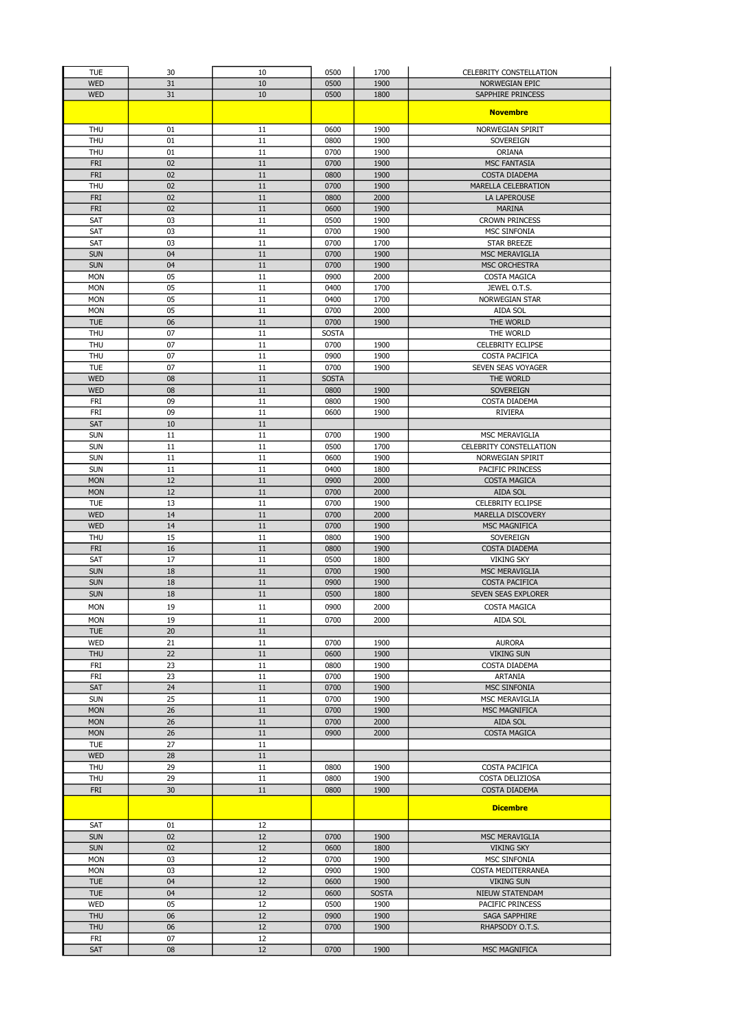| <b>TUE</b>               | 30       | 10       | 0500         | 1700         | <b>CELEBRITY CONSTELLATION</b>                    |
|--------------------------|----------|----------|--------------|--------------|---------------------------------------------------|
| <b>WED</b>               | 31       | 10       | 0500         | 1900         | <b>NORWEGIAN EPIC</b>                             |
| <b>WED</b>               | 31       | 10       | 0500         | 1800         | SAPPHIRE PRINCESS                                 |
|                          |          |          |              |              | <b>Novembre</b>                                   |
|                          |          |          |              |              |                                                   |
| <b>THU</b><br><b>THU</b> | 01<br>01 | 11<br>11 | 0600<br>0800 | 1900<br>1900 | NORWEGIAN SPIRIT<br>SOVEREIGN                     |
| <b>THU</b>               | 01       | 11       | 0700         | 1900         | ORIANA                                            |
| <b>FRI</b>               | 02       | 11       | 0700         | 1900         | <b>MSC FANTASIA</b>                               |
| <b>FRI</b>               | 02       | 11       | 0800         | 1900         | <b>COSTA DIADEMA</b>                              |
| <b>THU</b>               | 02       | 11       | 0700         | 1900         | <b>MARELLA CELEBRATION</b>                        |
| <b>FRI</b>               | 02       | 11       | 0800         | 2000         | <b>LA LAPEROUSE</b>                               |
| <b>FRI</b>               | 02       | 11       | 0600         | 1900         | <b>MARINA</b>                                     |
| SAT                      | 03       | 11       | 0500         | 1900         | <b>CROWN PRINCESS</b>                             |
| SAT                      | 03       | 11       | 0700         | 1900         | <b>MSC SINFONIA</b>                               |
| SAT<br><b>SUN</b>        | 03<br>04 | 11<br>11 | 0700<br>0700 | 1700<br>1900 | <b>STAR BREEZE</b><br><b>MSC MERAVIGLIA</b>       |
| <b>SUN</b>               | 04       | 11       | 0700         | 1900         | MSC ORCHESTRA                                     |
| <b>MON</b>               | 05       | 11       | 0900         | 2000         | COSTA MAGICA                                      |
| <b>MON</b>               | 05       | 11       | 0400         | 1700         | JEWEL O.T.S.                                      |
| <b>MON</b>               | 05       | 11       | 0400         | 1700         | <b>NORWEGIAN STAR</b>                             |
| <b>MON</b>               | 05       | 11       | 0700         | 2000         | AIDA SOL                                          |
| <b>TUE</b>               | 06       | 11       | 0700         | 1900         | THE WORLD                                         |
| <b>THU</b>               | 07       | 11       | <b>SOSTA</b> |              | THE WORLD                                         |
| <b>THU</b><br><b>THU</b> | 07<br>07 | 11<br>11 | 0700<br>0900 | 1900<br>1900 | <b>CELEBRITY ECLIPSE</b><br><b>COSTA PACIFICA</b> |
| <b>TUE</b>               | 07       | 11       | 0700         | 1900         | SEVEN SEAS VOYAGER                                |
| <b>WED</b>               | 08       | 11       | <b>SOSTA</b> |              | THE WORLD                                         |
| <b>WED</b>               | 08       | 11       | 0800         | 1900         | <b>SOVEREIGN</b>                                  |
| FRI                      | 09       | 11       | 0800         | 1900         | COSTA DIADEMA                                     |
| <b>FRI</b>               | 09       | 11       | 0600         | 1900         | <b>RIVIERA</b>                                    |
| <b>SAT</b>               | 10       | 11       |              |              |                                                   |
| <b>SUN</b>               | 11       | 11       | 0700         | 1900         | MSC MERAVIGLIA                                    |
| <b>SUN</b><br><b>SUN</b> | 11<br>11 | 11<br>11 | 0500<br>0600 | 1700<br>1900 | CELEBRITY CONSTELLATION<br>NORWEGIAN SPIRIT       |
| <b>SUN</b>               | 11       | 11       | 0400         | 1800         | PACIFIC PRINCESS                                  |
| <b>MON</b>               | 12       | 11       | 0900         | 2000         | <b>COSTA MAGICA</b>                               |
| <b>MON</b>               | 12       | 11       | 0700         | 2000         | <b>AIDA SOL</b>                                   |
| <b>TUE</b>               | 13       | 11       | 0700         | 1900         | <b>CELEBRITY ECLIPSE</b>                          |
| <b>WED</b>               | 14       | 11       | 0700         | 2000         | MARELLA DISCOVERY                                 |
| <b>WED</b>               | 14       | 11       | 0700         | 1900         | MSC MAGNIFICA                                     |
| <b>THU</b>               | 15       | 11       | 0800         | 1900         | SOVEREIGN                                         |
| <b>FRI</b><br>SAT        | 16<br>17 | 11<br>11 | 0800<br>0500 | 1900<br>1800 | <b>COSTA DIADEMA</b><br><b>VIKING SKY</b>         |
| <b>SUN</b>               | 18       | 11       | 0700         | 1900         | <b>MSC MERAVIGLIA</b>                             |
| <b>SUN</b>               | 18       | 11       | 0900         | 1900         | COSTA PACIFICA                                    |
| <b>SUN</b>               | 18       | 11       | 0500         | 1800         | SEVEN SEAS EXPLORER                               |
| <b>MON</b>               | 19       | 11       | 0900         | 2000         | COSTA MAGICA                                      |
| <b>MON</b>               | 19       | 11       | 0700         | 2000         | AIDA SOL                                          |
| <b>TUE</b>               | 20       | 11       |              |              |                                                   |
| WED                      | 21       | 11       | 0700         | 1900         | <b>AURORA</b>                                     |
| THU                      | 22       | 11       | 0600         | 1900         | <b>VIKING SUN</b>                                 |
| FRI                      | 23       | 11       | 0800         | 1900         | COSTA DIADEMA                                     |
| FRI                      | 23       | 11<br>11 | 0700         | 1900<br>1900 | ARTANIA                                           |
| SAT<br><b>SUN</b>        | 24<br>25 | 11       | 0700<br>0700 | 1900         | <b>MSC SINFONIA</b><br>MSC MERAVIGLIA             |
| <b>MON</b>               | 26       | 11       | 0700         | 1900         | MSC MAGNIFICA                                     |
| <b>MON</b>               | 26       | 11       | 0700         | 2000         | AIDA SOL                                          |
| <b>MON</b>               | 26       | 11       | 0900         | 2000         | <b>COSTA MAGICA</b>                               |
| <b>TUE</b>               | 27       | 11       |              |              |                                                   |
| <b>WED</b>               | 28       | 11       |              |              |                                                   |
| <b>THU</b>               | 29       | 11       | 0800         | 1900         | COSTA PACIFICA                                    |
| THU                      | 29       | 11       | 0800         | 1900         | COSTA DELIZIOSA                                   |
| <b>FRI</b>               | 30       | 11       | 0800         | 1900         | <b>COSTA DIADEMA</b>                              |
|                          |          |          |              |              | <b>Dicembre</b>                                   |
| SAT                      | 01       | 12       |              |              |                                                   |
| <b>SUN</b>               | 02       | 12       | 0700         | 1900         | MSC MERAVIGLIA                                    |
| <b>SUN</b>               | 02       | 12       | 0600         | 1800         | <b>VIKING SKY</b>                                 |
| <b>MON</b>               | 03       | 12       | 0700         | 1900         | MSC SINFONIA                                      |
| <b>MON</b>               | 03       | 12       | 0900         | 1900         | COSTA MEDITERRANEA                                |
| <b>TUE</b>               | 04       | 12       | 0600         | 1900         | <b>VIKING SUN</b>                                 |
| <b>TUE</b>               | 04       | 12       | 0600         | <b>SOSTA</b> | NIEUW STATENDAM                                   |
| <b>WED</b>               | 05       | 12       | 0500         | 1900         | PACIFIC PRINCESS                                  |
| <b>THU</b><br><b>THU</b> | 06<br>06 | 12<br>12 | 0900<br>0700 | 1900<br>1900 | SAGA SAPPHIRE<br>RHAPSODY O.T.S.                  |
| FRI                      | 07       | 12       |              |              |                                                   |
| <b>SAT</b>               | 08       | 12       | 0700         | 1900         | MSC MAGNIFICA                                     |
|                          |          |          |              |              |                                                   |